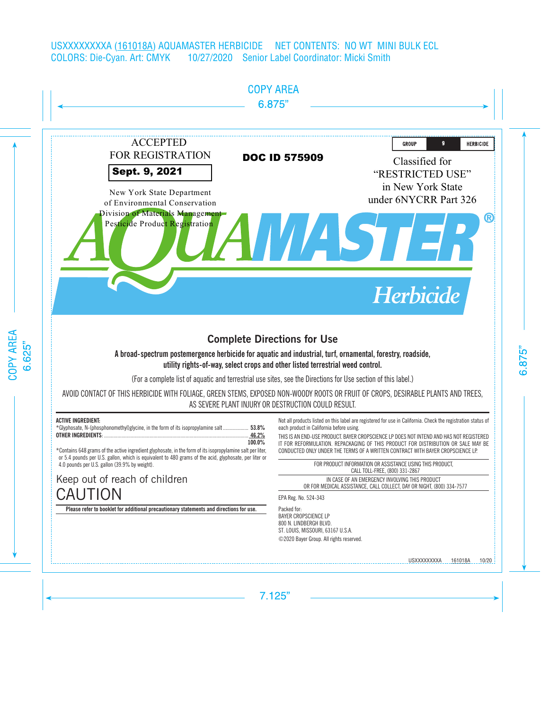

# **Complete Directions for Use**

## A broad-spectrum postemergence herbicide for aquatic and industrial, turf, ornamental, forestry, roadside, utility rights-of-way, select crops and other listed terrestrial weed control.

(For a complete list of aquatic and terrestrial use sites, see the Directions for Use section of this label.)

AVOID CONTACT OF THIS HERBICIDE WITH FOLIAGE, GREEN STEMS, EXPOSED NON-WOODY ROOTS OR FRUIT OF CROPS, DESIRABLE PLANTS AND TREES, AS SEVERE PLANT INJURY OR DESTRUCTION COULD RESULT.

## **ACTIVE INGREDIENT:**

| *Glyphosate, N-(phosphonomethyl)glycine, in the form of its isopropylamine salt 53.8% |        |
|---------------------------------------------------------------------------------------|--------|
|                                                                                       |        |
|                                                                                       | 100.0% |

\*Contains 648 grams of the active ingredient glyphosate, in the form of its isopropylamine salt per liter, or 5.4 pounds per U.S. gallon, which is equivalent to 480 grams of the acid, glyphosate, per liter or 4.0 pounds per U.S. gallon (39.9% by weight).

# Keep out of reach of children **CAUTION**

**Please refer to booklet for additional precautionary statements and directions for use.**

Not all products listed on this label are registered for use in California. Check the registration status of each product in California before using.

THIS IS AN END-USE PRODUCT. BAYER CROPSCIENCE LP DOES NOT INTEND AND HAS NOT REGISTERED IT FOR REFORMULATION. REPACKAGING OF THIS PRODUCT FOR DISTRIBUTION OR SALE MAY BE CONDUCTED ONLY UNDER THE TERMS OF A WRITTEN CONTRACT WITH BAYER CROPSCIENCE LP.

> FOR PRODUCT INFORMATION OR ASSISTANCE USING THIS PRODUCT, CALL TOLL-FREE, (800) 331-2867

IN CASE OF AN EMERGENCY INVOLVING THIS PRODUCT OR FOR MEDICAL ASSISTANCE, CALL COLLECT, DAY OR NIGHT, (800) 334-7577

EPA Reg. No. 524-343

Packed for: BAYER CROPSCIENCE LP 800 N. LINDBERGH BLVD. ST. LOUIS, MISSOURI, 63167 U.S.A. ©2020 Bayer Group. All rights reserved.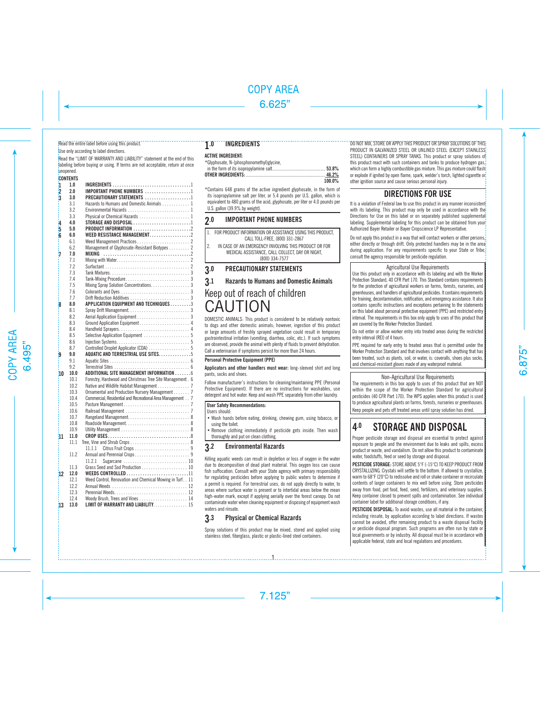#### Read the entire label before using this product.

#### Use only according to label directions.

Read the "LIMIT OF WARRANTY AND LIABILITY" statement at the end of this labeling before buying or using. If terms are not acceptable, return at once unopened.

## **CONTENTS**

|                         | UUNIENIS |                                                            |  |
|-------------------------|----------|------------------------------------------------------------|--|
| 1                       | 1.0      |                                                            |  |
| $\overline{\mathbf{2}}$ | 2.0      | IMPORTANT PHONE NUMBERS 1                                  |  |
| k                       | 30       | PRECAUTIONARY STATEMENTS 1                                 |  |
|                         | 3.1      | Hazards to Humans and Domestic Animals 1                   |  |
|                         | 3.2      |                                                            |  |
|                         | 3.3      |                                                            |  |
| 4                       | 4.0      |                                                            |  |
| 5                       | 5.0      |                                                            |  |
| ĥ                       | 6.0      | WEED RESISTANCE MANAGEMENT. 2                              |  |
|                         | 6.1      |                                                            |  |
|                         | 6.2      | Management of Glyphosate-Resistant Biotypes 2              |  |
| 7                       | 7.0      | MIXING                                                     |  |
|                         | 7.1      |                                                            |  |
|                         | 7.2      |                                                            |  |
|                         | 7.3      |                                                            |  |
|                         | 7.4      |                                                            |  |
|                         | 7.5      | Mixing Spray Solution Concentrations. 3                    |  |
|                         | 7.6      |                                                            |  |
|                         | 7.7      |                                                            |  |
| 8                       | 8.0      | APPLICATION EQUIPMENT AND TECHNIQUES 3                     |  |
|                         | 8.1      |                                                            |  |
|                         | 8.2      |                                                            |  |
|                         | 8.3      |                                                            |  |
|                         | 8.4      |                                                            |  |
|                         | 8.5      | Selective Application Equipment  5                         |  |
|                         | 8.6      |                                                            |  |
|                         | 8.7      | Controlled Droplet Applicator (CDA)  5                     |  |
| 9                       | 9.0      | AQUATIC AND TERRESTRIAL USE SITES. 5                       |  |
|                         | 9.1      |                                                            |  |
|                         | 92       |                                                            |  |
| 10                      | 10.0     | ADDITIONAL SITE MANAGEMENT INFORMATION 6                   |  |
|                         | 10.1     | Forestry, Hardwood and Christmas Tree Site Management. 6   |  |
|                         | 10.2     |                                                            |  |
|                         | 10.3     | Ornamental and Production Nursery Management 7             |  |
|                         | 10.4     | Commercial, Residential and Recreational Area Management 7 |  |
|                         | 10.5     |                                                            |  |
|                         | 10.6     |                                                            |  |
|                         | 10.7     |                                                            |  |
|                         | 10.8     |                                                            |  |
|                         | 10.9     |                                                            |  |
| 11                      | 11.0     |                                                            |  |
|                         | 111      |                                                            |  |
|                         |          | 11.1.1                                                     |  |
|                         | 11.2     |                                                            |  |
|                         |          | Sugarcane  10<br>11.2.1                                    |  |
|                         | 11.3     |                                                            |  |
| 12                      | 12.0     | <b>WEEDS CONTROLLED11</b>                                  |  |
|                         | 12.1     | Weed Control, Renovation and Chemical Mowing in Turf., 11  |  |
|                         | 12.2     |                                                            |  |
|                         | 12.3     |                                                            |  |
|                         | 12.4     | Woody Brush, Trees and Vines  14                           |  |
| 13                      | 13.0     | LIMIT OF WARRANTY AND LIABILITY 15                         |  |

## 1.0 INGREDIENTS

## **ACTIVE INGREDIENT:**

| *Glyphosate, N-(phosphonomethyl)glycine, |        |
|------------------------------------------|--------|
|                                          |        |
|                                          |        |
|                                          | 100 0% |

\*Contains 648 grams of the active ingredient glyphosate, in the form of its isopropylamine salt per liter, or 5.4 pounds per U.S. gallon, which is equivalent to 480 grams of the acid, glyphosate, per liter or 4.0 pounds per U.S. gallon (39.9% by weight).

## 2.0 IMPORTANT PHONE NUMBERS

| 3.0 | <b>PRECAUTIONARY STATEMENTS</b>                                                             |
|-----|---------------------------------------------------------------------------------------------|
|     | MEDICAL ASSISTANCE, CALL COLLECT, DAY OR NIGHT,<br>(800) 334-7577                           |
| 12  | IN CASE OF AN EMERGENCY INVOLVING THIS PRODUCT OR FOR                                       |
|     | FOR PRODUCT INFORMATION OR ASSISTANCE USING THIS PRODUCT,<br>CALL TOLL-FREE. (800) 331-2867 |

## 3.1 Hazards to Humans and Domestic Animals

# Keep out of reach of children CAUTION

DOMESTIC ANIMALS: This product is considered to be relatively nontoxic to dogs and other domestic animals; however, ingestion of this product or large amounts of freshly sprayed vegetation could result in temporary gastrointestinal irritation (vomiting, diarrhea, colic, etc.). If such symptoms are observed, provide the animal with plenty of fluids to prevent dehydration. Call a veterinarian if symptoms persist for more than 24 hours.

### Personal Protective Equipment (PPE)

Applicators and other handlers must wear: long-sleeved shirt and long pants, socks and shoes.

Follow manufacturer's instructions for cleaning/maintaining PPE (Personal Protective Equipment). If there are no instructions for washables, use detergent and hot water. Keep and wash PPE separately from other laundry.

#### **User Safety Recommendations:**

Users should:

• Wash hands before eating, drinking, chewing gum, using tobacco, or using the toilet.

• Remove clothing immediately if pesticide gets inside. Then wash thoroughly and put on clean clothing.

## 3.2 Environmental Hazards

Killing aquatic weeds can result in depletion or loss of oxygen in the water due to decomposition of dead plant material. This oxygen loss can cause fish suffocation. Consult with your State agency with primary responsibility for regulating pesticides before applying to public waters to determine if a permit is required. For terrestrial uses, do not apply directly to water, to areas where surface water is present or to intertidal areas below the mean high-water mark, except if applying aerially over the forest canopy. Do not contaminate water when cleaning equipment or disposing of equipment wash waters and rinsate.

## 3.3 Physical or Chemical Hazards

Spray solutions of this product may be mixed, stored and applied using stainless steel, fiberglass, plastic or plastic-lined steel containers.

1

DO NOT MIX, STORE OR APPLY THIS PRODUCT OR SPRAY SOLUTIONS OF THIS PRODUCT IN GALVANIZED STEEL OR UNLINED STEEL (EXCEPT STAINLESS STEEL) CONTAINERS OR SPRAY TANKS. This product or spray solutions of this product react with such containers and tanks to produce hydrogen gas, which can form a highly combustible gas mixture. This gas mixture could flash or explode if ignited by open flame, spark, welder's torch, lighted cigarette or other ignition source and cause serious personal injury.

## DIRECTIONS FOR USE

It is a violation of Federal law to use this product in any manner inconsistent with its labeling. This product may only be used in accordance with the Directions for Use on this label or on separately published supplemental labeling. Supplemental labeling for this product can be obtained from your Authorized Bayer Retailer or Bayer Cropscience LP Representative.

Do not apply this product in a way that will contact workers or other persons. either directly or through drift. Only protected handlers may be in the area<sup>i</sup> during application. For any requirements specific to your State or Tribe. consult the agency responsible for pesticide regulation.

#### Agricultural Use Requirements

Use this product only in accordance with its labeling and with the Worker Protection Standard, 40 CFR Part 170. This Standard contains requirements for the protection of agricultural workers on farms, forests, nurseries, and greenhouses, and handlers of agricultural pesticides. It contains requirements for training, decontamination, notification, and emergency assistance. It also contains specific instructions and exceptions pertaining to the statements on this label about personal protective equipment (PPE) and restricted entry interval. The requirements in this box only apply to uses of this product that are covered by the Worker Protection Standard.

Do not enter or allow worker entry into treated areas during the restricted entry interval (REI) of 4 hours.

PPE required for early entry to treated areas that is permitted under the Worker Protection Standard and that involves contact with anything that has been treated, such as plants, soil, or water, is: coveralls, shoes plus socks, and chemical-resistant gloves made of any waterproof material.

#### Non-Agricultural Use Requirements

The requirements in this box apply to uses of this product that are NOT within the scope of the Worker Protection Standard for agricultural pesticides (40 CFR Part 170). The WPS applies when this product is used to produce agricultural plants on farms, forests, nurseries or greenhouses. Keep people and pets off treated areas until spray solution has dried.

# 4.0 STORAGE AND DISPOSAL

Proper pesticide storage and disposal are essential to protect against exposure to people and the environment due to leaks and spills, excess product or waste, and vandalism. Do not allow this product to contaminate water, foodstuffs, feed or seed by storage and disposal.

**PESTICIDE STORAGE:** STORE ABOVE 5°F (-15°C) TO KEEP PRODUCT FROM CRYSTALLIZING. Crystals will settle to the bottom. If allowed to crystallize, warm to 68°F (20°C) to redissolve and roll or shake container or recirculate contents of larger containers to mix well before using. Store pesticides away from food, pet food, feed, seed, fertilizers, and veterinary supplies. Keep container closed to prevent spills and contamination. See individual container label for additional storage conditions, if any.

**PESTICIDE DISPOSAL:** To avoid wastes, use all material in the container, including rinsate, by application according to label directions. If wastes cannot be avoided, offer remaining product to a waste disposal facility or pesticide disposal program. Such programs are often run by state or local governments or by industry. All disposal must be in accordance with applicable federal, state and local regulations and procedures.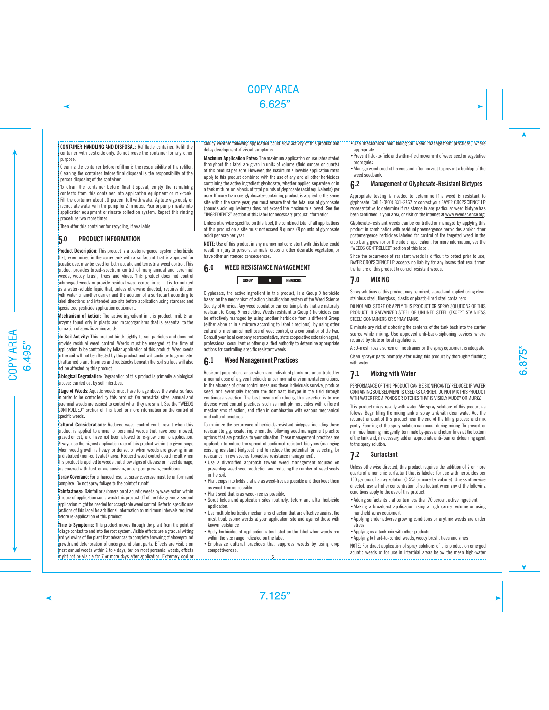**CONTAINER HANDLING AND DISPOSAL:** Refillable container. Refill the

container with pesticide only. Do not reuse the container for any other purpose.

Cleaning the container before refilling is the responsibility of the refiller. Cleaning the container before final disposal is the responsibility of the person disposing of the container.

To clean the container before final disposal, empty the remaining contents from this container into application equipment or mix-tank. Fill the container about 10 percent full with water. Agitate vigorously or recirculate water with the pump for 2 minutes. Pour or pump rinsate into application equipment or rinsate collection system. Repeat this rinsing procedure two more times.

Then offer this container for recycling, if available.

## 5.0 PRODUCT INFORMATION

**Product Description:** This product is a postemergence, systemic herbicide that, when mixed in the spray tank with a surfactant that is approved for aquatic use, may be used for both aquatic and terrestrial weed control. This product provides broad-spectrum control of many annual and perennial weeds, woody brush, trees and vines. This product does not control submerged weeds or provide residual weed control in soil. It is formulated as a water-soluble liquid that, unless otherwise directed, requires dilution with water or another carrier and the addition of a surfactant according to label directions and intended use site before application using standard and specialized pesticide application equipment.

**Mechanism of Action:** The active ingredient in this product inhibits an enzyme found only in plants and microorganisms that is essential to the formation of specific amino acids.

**No Soil Activity:** This product binds tightly to soil particles and does not provide residual weed control. Weeds must be emerged at the time of application to be controlled by foliar application of this product. Weed seeds in the soil will not be affected by this product and will continue to germinate. Unattached plant rhizomes and rootstocks beneath the soil surface will also not be affected by this product.

**Biological Degradation:** Degradation of this product is primarily a biological process carried out by soil microbes.

**Stage of Weeds:** Aquatic weeds must have foliage above the water surface in order to be controlled by this product. On terrestrial sites, annual and perennial weeds are easiest to control when they are small. See the "WEEDS CONTROLLED" section of this label for more information on the control of specific weeds.

**Cultural Considerations:** Reduced weed control could result when this **product** is applied to annual or perennial weeds that have been mowed. grazed or cut, and have not been allowed to re-grow prior to application. Always use the highest application rate of this product within the given range when weed growth is heavy or dense, or when weeds are growing in an undisturbed (non-cultivated) area. Reduced weed control could result when this product is applied to weeds that show signs of disease or insect damage. are covered with dust, or are surviving under poor growing conditions.

**Spray Coverage:** For enhanced results, spray coverage must be uniform and complete. Do not spray foliage to the point of runoff.

**Rainfastness:** Rainfall or submersion of aquatic weeds by wave action within 4 hours of application could wash this product off of the foliage and a second application might be needed for acceptable weed control. Refer to specific use sections of this label for additional information on minimum intervals required before re-application of this product.

**Time to Symptoms:** This product moves through the plant from the point of foliage contact to and into the root system. Visible effects are a gradual wilting and yellowing of the plant that advances to complete browning of aboveground growth and deterioration of underground plant parts. Effects are visible on most annual weeds within 2 to 4 days, but on most perennial weeds, effects might not be visible for 7 or more days after application. Extremely cool or cloudy weather following application could slow activity of this product and delay development of visual symptoms.

**Maximum Annlication Rates:** The maximum application or use rates stated throughout this label are given in units of volume (fluid ounces or quarts) of this product per acre. However, the maximum allowable application rates apply to this product combined with the use of any and all other herbicides containing the active ingredient glyphosate, whether applied separately or in a tank mixture, on a basis of total pounds of glyphosate (acid equivalents) per acre. If more than one glyphosate-containing product is applied to the same site within the same year, you must ensure that the total use of glyphosate (pounds acid equivalents) does not exceed the maximum allowed. See the "INGREDIENTS" section of this label for necessary product information.

Unless otherwise specified on this label, the combined total of all applications of this product on a site must not exceed 8 quarts (8 pounds of glyphosate acid) per acre per year.

**NOTE:** Use of this product in any manner not consistent with this label could result in injury to persons, animals, crops or other desirable vegetation, or have other unintended consequences.

#### 6.0 WEED RESISTANCE MANAGEMENT **GROUP**  $\mathbf{g}$ HERBICIDE

Glyphosate, the active ingredient in this product, is a Group 9 herbicide based on the mechanism of action classification system of the Weed Science Society of America. Any weed population can contain plants that are naturally resistant to Group 9 herbicides. Weeds resistant to Group 9 herbicides can be effectively managed by using another herbicide from a different Group (either alone or in a mixture according to label directions), by using other cultural or mechanical methods of weed control, or a combination of the two. Consult your local company representative, state cooperative extension agent, professional consultant or other qualified authority to determine appropriate actions for controlling specific resistant weeds.

## 6.1 Weed Management Practices

Resistant populations arise when rare individual plants are uncontrolled by a normal dose of a given herbicide under normal environmental conditions. In the absence of other control measures these individuals survive, produce seed, and eventually become the dominant biotype in the field through continuous selection. The best means of reducing this selection is to use diverse weed control practices such as multiple herbicides with different mechanisms of action, and often in combination with various mechanical and cultural practices.

To minimize the occurrence of herbicide-resistant biotypes, including those resistant to glyphosate, implement the following weed management practice options that are practical to your situation. These management practices are applicable to reduce the spread of confirmed resistant biotypes (managing existing resistant biotypes) and to reduce the potential for selecting for resistance in new species (proactive resistance management).

- •Use a diversified approach toward weed management focused on preventing weed seed production and reducing the number of weed seeds in the soil.
- •Plant crops into fields that are as weed-free as possible and then keep them as weed-free as possible.
- •Plant seed that is as weed-free as possible.
- •Scout fields and application sites routinely, before and after herbicide application.
- •Use multiple herbicide mechanisms of action that are effective against the most troublesome weeds at your application site and against those with known resistance.
- •Apply herbicides at application rates listed on the label when weeds are within the size range indicated on the label.
- •Emphasize cultural practices that suppress weeds by using crop competitiveness.
- Use mechanical and biological weed management practices, where appropriate
- •Prevent field-to-field and within-field movement of weed seed or vegetative propagules.
- •Manage weed seed at harvest and after harvest to prevent a buildup of the weed seedbank.

## 6.2 Management of Glyphosate-Resistant Biotypes

Appropriate testing is needed to determine if a weed is resistant to glyphosate. Call 1-(800) 331-2867 or contact your BAYER CROPSCIENCE LP representative to determine if resistance in any particular weed biotype has been confirmed in your area, or visit on the Internet at www.weedscience.org.

Glyphosate-resistant weeds can be controlled or managed by applying this product in combination with residual preemergence herbicides and/or other postemergence herbicides labeled for control of the targeted weed in the crop being grown or on the site of application. For more information, see the "WEEDS CONTROLLED" section of this label.

Since the occurrence of resistant weeds is difficult to detect prior to use. BAYER CROPSCIENCE LP accepts no liability for any losses that result from the failure of this product to control resistant weeds.

## 7.0 MIXING

Spray solutions of this product may be mixed, stored and applied using clean stainless steel, fiberglass, plastic or plastic-lined steel containers.

DO NOT MIX, STORE OR APPLY THIS PRODUCT OR SPRAY SOLUTIONS OF THIS PRODUCT IN GALVANIZED STEEL OR UNLINED STEEL (EXCEPT STAINLESS) STEEL) CONTAINERS OR SPRAY TANKS.

Eliminate any risk of siphoning the contents of the tank back into the carrier source while mixing. Use approved anti-back-siphoning devices where required by state or local regulations.

A 50-mesh nozzle screen or line strainer on the spray equipment is adequate.

Clean sprayer parts promptly after using this product by thoroughly flushing with water

## 7.1 Mixing with Water

PERFORMANCE OF THIS PRODUCT CAN BE SIGNIFICANTLY REDUCED IF WATER CONTAINING SOIL SEDIMENT IS USED AS CARRIER. DO NOT MIX THIS PRODUCT WITH WATER FROM PONDS OR DITCHES THAT IS VISIBLY MUDDY OR MURKY.

This product mixes readily with water. Mix spray solutions of this product as follows. Begin filling the mixing tank or spray tank with clean water. Add the required amount of this product near the end of the filling process and mix gently. Foaming of the spray solution can occur during mixing. To prevent or minimize foaming, mix gently, terminate by-pass and return lines at the bottom of the tank and, if necessary, add an appropriate anti-foam or defoaming agent to the spray solution.

## 7.2 Surfactant

Unless otherwise directed, this product requires the addition of 2 or more quarts of a nonionic surfactant that is labeled for use with herbicides per 100 gallons of spray solution (0.5% or more by volume). Unless otherwise directed, use a higher concentration of surfactant when any of the following conditions apply to the use of this product:

- •Adding surfactants that contain less than 70 percent active ingredient
- Making a broadcast application using a high carrier volume or using handheld spray equipment
- Applying under adverse growing conditions or anytime weeds are under stress
- •Applying as a tank-mix with other products
- •Applying to hard-to-control weeds, woody brush, trees and vines

NOTE: For direct application of spray solutions of this product on emerged aquatic weeds or for use in intertidal areas below the mean high-water and a material areas below the mean high-water  $\sim$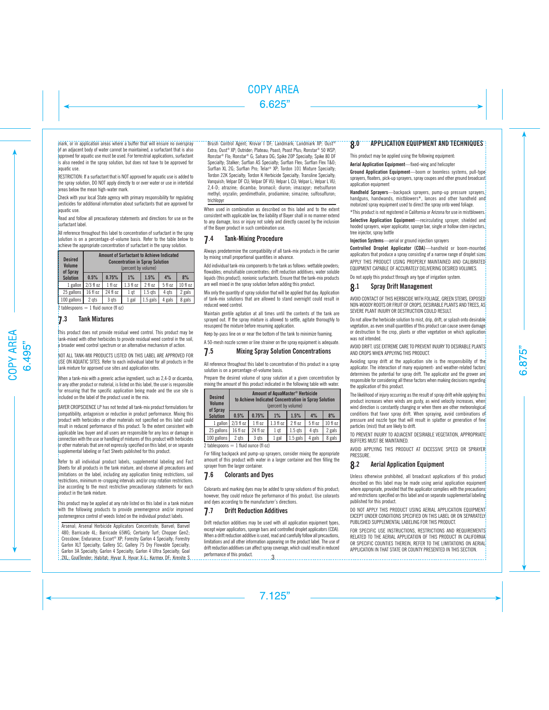mark, or in application areas where a buffer that will ensure no overspray of an adjacent body of water cannot be maintained, a surfactant that is also approved for aquatic use must be used. For terrestrial applications, surfactant is also needed in the spray solution, but does not have to be approved for aquatic use.

RESTRICTION: If a surfactant that is NOT approved for aquatic use is added to the spray solution, DO NOT apply directly to or over water or use in intertidal areas below the mean high-water mark.

Check with your local State agency with primary responsibility for regulating pesticides for additional information about surfactants that are approved for aquatic use.

Read and follow all precautionary statements and directions for use on the surfactant label.

All reference throughout this label to concentration of surfactant in the spray solution is on a percentage-of-volume basis. Refer to the table below to achieve the appropriate concentration of surfactant in the spray solution.

| <b>Desired</b><br><b>Volume</b><br>of Spray |                              | <b>Amount of Surfactant to Achieve Indicated</b> | <b>Concentration in Spray Solution</b><br>(percent by volume) |            |         |          |
|---------------------------------------------|------------------------------|--------------------------------------------------|---------------------------------------------------------------|------------|---------|----------|
| <b>Solution</b>                             | 0.5%                         | 0.75%                                            | $1\%$                                                         | 1.5%       | 4%      | 8%       |
|                                             | 1 gallon $\frac{2}{3}$ fl oz | 1 f 0 z                                          | $1.3 f$ l oz                                                  | 2 fl oz    | 5 fl oz | 10 fl oz |
| 25 gallons                                  | 16 fl oz                     | 24 fl oz                                         | 1 qt                                                          | $1.5$ qts  | 4 ats   | 2 gals   |
| 100 gallons                                 | 2 ats                        | 3 gts                                            | 1 gal                                                         | $1.5$ gals | 4 gals  | 8 gals   |

2 tablespoons  $= 1$  fluid ounce (fl oz)

## 7.3 Tank Mixtures

This product does not provide residual weed control. This product may be tank-mixed with other herbicides to provide residual weed control in the soil, a broader weed control spectrum or an alternative mechanism of action.

NOT ALL TANK-MIX PRODUCTS LISTED ON THIS LABEL ARE APPROVED FOR USE ON AQUATIC SITES. Refer to each individual label for all products in the tank mixture for approved use sites and application rates.

When a tank-mix with a generic active ingredient, such as 2.4-D or dicamba.  $\overline{b}$ r any other product or material, is listed on this label, the user is responsible for ensuring that the specific application being made and the use site is included on the label of the product used in the mix.

BAYER CROPSCIENCE LP has not tested all tank-mix product formulations for compatibility, antagonism or reduction in product performance. Mixing this product with herbicides or other materials not specified on this label could result in reduced performance of this product. To the extent consistent with applicable law, buyer and all users are responsible for any loss or damage in connection with the use or handling of mixtures of this product with herbicides or other materials that are not expressly specified on this label, or on separate supplemental labeling or Fact Sheets published for this product.

Refer to all individual product labels, supplemental labeling and Fact Sheets for all products in the tank mixture, and observe all precautions and limitations on the label, including any application timing restrictions, soil restrictions, minimum re-cropping intervals and/or crop rotation restrictions. Use according to the most restrictive precautionary statements for each product in the tank mixture.

This product may be applied at any rate listed on this label in a tank mixture with the following products to provide preemergence and/or improved postemergence control of weeds listed on the individual product labels.

Arsenal; Arsenal Herbicide Applicators Concentrate; Banvel; Banvel 480; Barricade 4L; Barricade 65WG; Certainty Turf; Chopper Gen2; Crossbow; Endurance; Escort® XP; Forestry Garlon 4 Specialty; Forestry Garlon XLT Specialty; Gallery SC; Gallery 75 Dry Flowable Specialty; Garlon 3A Specialty; Garlon 4 Specialty; Garlon 4 Ultra Specialty; Goal 2XL; GoalTender; Habitat; Hyvar X; Hyvar X-L; Karmex DF; Krenite S Brush Control Agent; Krovar I DF; Landmark; Landmark XP; Oust® Extra; Oust® XP; Outrider; Plateau; Poast; Poast Plus; Ronstar® 50 WSP; Ronstar® Flo; Ronstar® G; Sahara DG; Spike 20P Specialty; Spike 80 DF Specialty; Stalker; Surflan AS Specialty; Surflan Flex; Surflan Flex T&O; Surflan XL 2G; Surflan Pro; Telar® XP; Tordon 101 Mixture Specialty; Tordon 22K Specialty; Tordon K Herbicide Specialty; Transline Specialty; Vanquish; Velpar DF CU; Velpar DF VU; Velpar L CU; Velpar L; Velpar L VU; 2,4-D; atrazine; dicamba; bromacil; diuron; imazapyr; metsulfuron methyl; oryzalin; pendimethalin, prodiamine; simazine; sulfosulfuron; trichlopyr

When used in combination as described on this label and to the extent consistent with applicable law, the liability of Bayer shall in no manner extend to any damage, loss or injury not solely and directly caused by the inclusion of the Bayer product in such combination use.

## 7.4 Tank-Mixing Procedure

Always predetermine the compatibility of all tank-mix products in the carrier by mixing small proportional quantities in advance.

Add individual tank-mix components to the tank as follows: wettable powders: flowables; emulsifiable concentrates; drift reduction additives; water soluble liquids (this product); nonionic surfactants. Ensure that the tank-mix products are well mixed in the spray solution before adding this product.

Mix only the quantity of spray solution that will be applied that day. Application of tank-mix solutions that are allowed to stand overnight could result in reduced weed control.

Maintain gentile agitation at all times until the contents of the tank are sprayed out. If the spray mixture is allowed to settle, agitate thoroughly to resuspend the mixture before resuming application.

Keep by-pass line on or near the bottom of the tank to minimize foaming.

A 50-mesh nozzle screen or line strainer on the spray equipment is adequate.

## 7.5 Mixing Spray Solution Concentrations

All reference throughout this label to concentration of this product in a spray solution is on a percentage-of-volume basis.

Prepare the desired volume of spray solution at a given concentration by mixing the amount of this product indicated in the following table with water.

| <b>Desired</b><br>Volume<br>of Spray |             | to Achieve Indicated Concentration in Spray Solution | Amount of AguaMaster <sup>®</sup> Herbicide<br>(percent by volume) |            |         |          |
|--------------------------------------|-------------|------------------------------------------------------|--------------------------------------------------------------------|------------|---------|----------|
| <b>Solution</b>                      | 0.5%        | 0.75%                                                | $1\%$                                                              | 1.5%       | 4%      | 8%       |
| 1 gallon                             | $2/3$ fl oz | $1$ fl oz                                            | 1.3 f1 oz                                                          | 2 fl oz    | 5 fl oz | 10 fl oz |
| 25 gallons                           | 16 fl oz    | 24 fl oz                                             | 1 at                                                               | $1.5$ qts  | 4 ats   | 2 gals   |
| 100 gallons                          | 2 ats       | 3 ats                                                | 1 gal                                                              | $1.5$ gals | 4 gals  | 8 gals   |

2 tablespoons  $= 1$  fluid ounce (fl oz)

For filling backpack and pump-up sprayers, consider mixing the appropriate amount of this product with water in a larger container and then filling the sprayer from the larger container.

## 7.6 Colorants and Dyes

Colorants and marking dyes may be added to spray solutions of this product: however, they could reduce the performance of this product. Use colorants and dyes according to the manufacturer's directions.

## 7.7 Drift Reduction Additives

Drift reduction additives may be used with all application equipment types, except wiper applicators, sponge bars and controlled droplet applicators (CDA). When a drift reduction additive is used, read and carefully follow all precautions. limitations and all other information appearing on the product label. The use of drift reduction additives can affect spray coverage, which could result in reduced performance of this product. 3

## **8.0 APPLICATION EQUIPMENT AND TECHNIQUES**

This product may be applied using the following equipment:

**Aerial Application Equipment**—fixed-wing and helicopter

**Ground Application Equipment**—boom or boomless systems, pull-type<sup>1</sup> sprayers, floaters, pick-up sprayers, spray coupes and other ground broadcast application equipment

**Handheld Sprayers**—backpack sprayers, pump-up pressure sprayers, handguns, handwands, mistblowers\*, lances and other handheld and motorized spray equipment used to direct the spray onto weed foliage.

\*This product is not registered in California or Arizona for use in mistblowers.

**Selective Application Equipment**—recirculating sprayer, shielded and hooded sprayers, wiper applicator, sponge bar, single or hollow stem injectors. tree injector, spray bottle

**Injection Systems**—aerial or ground injection sprayers

**Controlled Droplet Applicator (CDA)**—handheld or boom-mounted applicators that produce a spray consisting of a narrow range of droplet sizes APPLY THIS PRODUCT USING PROPERLY MAINTAINED AND CALIBRATED EQUIPMENT CAPABLE OF ACCURATELY DELIVERING DESIRED VOLUMES.

Do not apply this product through any type of irrigation system.

## 8.1 Spray Drift Management

AVOID CONTACT OF THIS HERBICIDE WITH FOLIAGE, GREEN STEMS, EXPOSED NON-WOODY ROOTS OR FRUIT OF CROPS, DESIRABLE PLANTS AND TREES, AS SEVERE PLANT INJURY OR DESTRUCTION COULD RESULT.

Do not allow the herbicide solution to mist, drip, drift, or splash onto desirable vegetation, as even small quantities of this product can cause severe damage or destruction to the crop, plants or other vegetation on which application was not intended.

AVOID DRIFT. USE EXTREME CARE TO PREVENT INJURY TO DESIRABLE PLANTS AND CROPS WHEN APPLYING THIS PRODUCT.

Avoiding spray drift at the application site is the responsibility of the applicator. The interaction of many equipment- and weather-related factors determines the potential for spray drift. The applicator and the grower are responsible for considering all these factors when making decisions regarding the application of this product.

The likelihood of injury occurring as the result of spray drift while applying this product increases when winds are gusty, as wind velocity increases, when wind direction is constantly changing or when there are other meteorological conditions that favor spray drift. When spraying, avoid combinations of pressure and nozzle type that will result in splatter or generation of fine particles (mist) that are likely to drift.

TO PREVENT INJURY TO ADJACENT DESIRABLE VEGETATION, APPROPRIATE BUFFERS MUST BE MAINTAINED.

AVOID APPLYING THIS PRODUCT AT EXCESSIVE SPEED OR SPRAYER **PRESSURE** 

## 8.2 Aerial Application Equipment

Unless otherwise prohibited, all broadcast applications of this product described on this label may be made using aerial application equipment where appropriate, provided that the applicator complies with the precautions and restrictions specified on this label and on separate supplemental labeling published for this product.

DO NOT APPLY THIS PRODUCT USING AERIAL APPLICATION EQUIPMENT EXCEPT UNDER CONDITIONS SPECIFIED ON THIS LABEL OR ON SEPARATELY PUBLISHED SUPPLEMENTAL LABELING FOR THIS PRODUCT.

FOR SPECIFIC USE INSTRUCTIONS, RESTRICTIONS AND REQUIREMENTS RELATED TO THE AERIAL APPLICATION OF THIS PRODUCT IN CALIFORNIA OR SPECIFIC COUNTIES THEREIN, REFER TO THE LIMITATIONS ON AERIAL APPLICATION IN THAT STATE OR COUNTY PRESENTED IN THIS SECTION.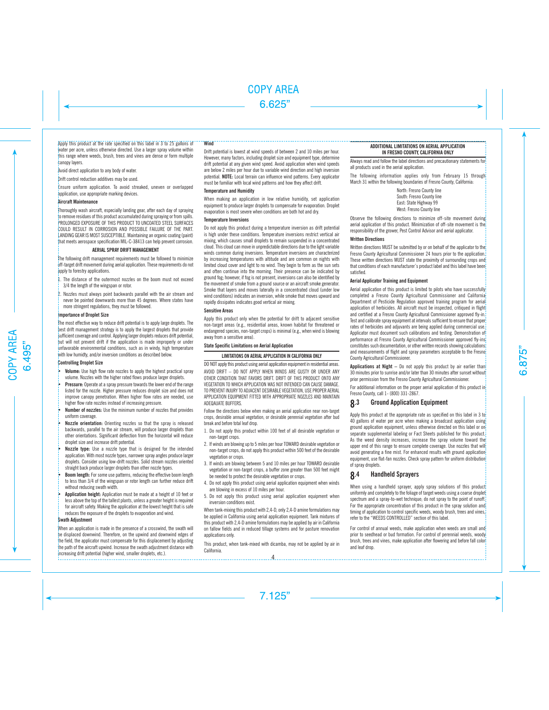## Apply this product at the rate specified on this label in 3 to 25 gallons of

water per acre, unless otherwise directed. Use a larger spray volume within this range where weeds, brush, trees and vines are dense or form multiple canopy layers.

Avoid direct application to any body of water.

Drift control reduction additives may be used.

Ensure uniform application. To avoid streaked, uneven or overlapped application, use appropriate marking devices.

### **Aircraft Maintenance**

Thoroughly wash aircraft, especially landing gear, after each day of spraying to remove residues of this product accumulated during spraying or from spills. PROLONGED EXPOSURE OF THIS PRODUCT TO UNCOATED STEEL SURFACES COULD RESULT IN CORROSION AND POSSIBLE FAILURE OF THE PART. LANDING GEAR IS MOST SUSCEPTIBLE. Maintaining an organic coating (paint) that meets aerospace specification MIL-C-38413 can help prevent corrosion.

#### **AERIAL SPRAY DRIFT MANAGEMENT**

The following drift management requirements must be followed to minimize off-target drift movement during aerial application. These requirements do not apply to forestry applications.

- The distance of the outermost nozzles on the boom must not exceed 3/4 the length of the wingspan or rotor.
- 2. Nozzles must always point backwards parallel with the air stream and never be pointed downwards more than 45 degrees. Where states have more stringent regulations, they must be followed.

### **Importance of Droplet Size**

The most effective way to reduce drift potential is to apply large droplets. The best drift management strategy is to apply the largest droplets that provide sufficient coverage and control. Applying larger droplets reduces drift potential, but will not prevent drift if the application is made improperly or under unfavorable environmental conditions, such as in windy, high temperature with low humidty, and/or inversion conditions as described below.

#### **Controlling Droplet Size**

- **Volume:** Use high flow rate nozzles to apply the highest practical spray volume. Nozzles with the higher rated flows produce larger droplets.
- **Pressure:** Operate at a spray pressure towards the lower end of the range listed for the nozzle. Higher pressure reduces droplet size and does not improve canopy penetration. When higher flow rates are needed, use higher flow rate nozzles instead of increasing pressure.
- **• Number of nozzles:** Use the minimum number of nozzles that provides uniform coverage.
- **Nozzle orientation:** Orienting nozzles so that the spray is released backwards, parallel to the air stream, will produce larger droplets than other orientations. Significant deflection from the horizontal will reduce droplet size and increase drift potential.
- **• Nozzle type:** Use a nozzle type that is designed for the intended application. With most nozzle types, narrower spray angles produce larger droplets. Consider using low-drift nozzles. Solid stream nozzles oriented straight back produce larger droplets than other nozzle types.
- **• Boom length:** For some use patterns, reducing the effective boom length to less than 3/4 of the wingspan or rotor length can further reduce drift without reducing swath width.
- **• Application height:** Application must be made at a height of 10 feet or less above the top of the tallest plants, unless a greater height is required for aircraft safety. Making the application at the lowest height that is safe reduces the exposure of the droplets to evaporation and wind.

#### **Swath Adjustment**

When an application is made in the presence of a crosswind, the swath will be displaced downwind. Therefore, on the upwind and downwind edges of the field, the applicator must compensate for this displacement by adjusting the path of the aircraft upwind. Increase the swath adjustment distance with increasing drift potential (higher wind, smaller droplets, etc.).

### **Wind**

Drift potential is lowest at wind speeds of between 2 and 10 miles per hour. However, many factors, including droplet size and equipment type, determine drift potential at any given wind speed. Avoid application when wind speeds are below 2 miles per hour due to variable wind direction and high inversion potential. **NOTE:** Local terrain can influence wind patterns. Every applicator must be familiar with local wind patterns and how they affect drift.

### **Temperature and Humidity**

When making an application in low relative humidity, set application equipment to produce larger droplets to compensate for evaporation. Droplet evaporation is most severe when conditions are both hot and dry.

#### **Temperature Inversions**

Do not apply this product during a temperature inversion as drift potential is high under these conditions. Temperature inversions restrict vertical air mixing, which causes small droplets to remain suspended in a concentrated cloud. This cloud can move in unpredictable directions due to the light variable winds common during inversions. Temperature inversions are characterized by increasing temperatures with altitude and are common on nights with limited cloud cover and light to no wind. They begin to form as the sun sets and often continue into the morning. Their presence can be indicated by ground fog; however, if fog is not present, inversions can also be identified by the movement of smoke from a ground source or an aircraft smoke generator. Smoke that layers and moves laterally in a concentrated cloud (under low wind conditions) indicates an inversion, while smoke that moves upward and rapidly dissipates indicates good vertical air mixing.

## **Sensitive Areas**

Apply this product only when the potential for drift to adjacent sensitive non-target areas (e.g., residential areas, known habitat for threatened or endangered species, non-target crops) is minimal (e.g., when wind is blowing away from a sensitive area).

#### **State Specific Limitations on Aerial Application**

#### **LIMITATIONS ON AERIAL APPLICATION IN CALIFORNIA ONLY**

DO NOT apply this product using aerial application equipment in residential areas.

AVOID DRIFT – DO NOT APPLY WHEN WINDS ARE GUSTY OR UNDER ANY OTHER CONDITION THAT FAVORS DRIFT. DRIFT OF THIS PRODUCT ONTO ANY VEGETATION TO WHICH APPLICATION WAS NOT INTENDED CAN CAUSE DAMAGE. TO PREVENT INJURY TO ADJACENT DESIRABLE VEGETATION, USE PROPER AERIAL APPLICATION EQUIPMENT FITTED WITH APPROPRIATE NOZZLES AND MAINTAIN ADEQAUATE BUFFERS.

Follow the directions below when making an aerial application near non-target crops, desirable annual vegetation, or desirable perennial vegetation after bud break and before total leaf drop.

- 1. Do not apply this product within 100 feet of all desirable vegetation or non-target crops.
- 2. If winds are blowing up to 5 miles per hour TOWARD desirable vegetation or non-target crops, do not apply this product within 500 feet of the desirable vegetation or crops.
- 3. If winds are blowing between 5 and 10 miles per hour TOWARD desirable vegetation or non-target crops, a buffer zone greater than 500 feet might be needed to protect the desirable vegetation or crops.
- 4. Do not apply this product using aerial application equipment when winds are blowing in excess of 10 miles per hour.
- 5. Do not apply this product using aerial application equipment when inversion conditions exist.

When tank-mixing this product with 2,4-D, only 2,4-D amine formulations may be applied in California using aerial application equipment. Tank mixtures of this product with 2,4-D amine formulations may be applied by air in California on fallow fields and in reduced tillage systems and for pasture renovation applications only.

This product, when tank-mixed with dicamba, may not be applied by air in California. 4

## **ADDITIONAL LIMITATIONS ON AERIAL APPLICATION IN FRESNO COUNTY CALIFORNIA ONLY**

Always read and follow the label directions and precautionary statements for all products used in the aerial application.

The following information applies only from February 15 through March 31 within the following boundaries of Fresno County, California:

> North: Fresno County line South: Fresno County line East: State Highway 99 West: Fresno County line

Observe the following directions to minimize off-site movement during aerial application of this product. Minimization of off-site movement is the responsibility of the grower, Pest Control Advisor and aerial applicator.

## **Written Directions**

Written directions MUST be submitted by or on behalf of the applicator to the Fresno County Agricultural Commissioner 24 hours prior to the application. These written directions MUST state the proximity of surrounding crops and that conditions of each manufacturer's product label and this label have been satisfied.

## **Aerial Applicator Training and Equipment**

Aerial application of this product is limited to pilots who have successfully completed a Fresno County Agricultural Commissioner and California Department of Pesticide Regulation approved training program for aerial application of herbicides. All aircraft must be inspected, critiqued in flight and certified at a Fresno County Agricultural Commissioner approved fly-in. Test and calibrate spray equipment at intervals sufficient to ensure that proper rates of herbicides and adjuvants are being applied during commercial use. Applicator must document such calibrations and testing. Demonstration of performance at Fresno County Agricultural Commissioner approved fly-ins constitutes such documentation, or other written records showing calculations and measurements of flight and spray parameters acceptable to the Fresno County Agricultural Commissioner.

**Applications at Night** – Do not apply this product by air earlier than 30 minutes prior to sunrise and/or later than 30 minutes after sunset without prior permission from the Fresno County Agricultural Commissioner.

For additional information on the proper aerial application of this product in Fresno County, call 1- (800) 331-2867.

## 8.3 Ground Application Equipment

Apply this product at the appropriate rate as specified on this label in 3 to 40 gallons of water per acre when making a broadcast application using ground application equipment, unless otherwise directed on this label or on separate supplemental labeling or Fact Sheets published for this product. As the weed density increases, increase the spray volume toward the upper end of this range to ensure complete coverage. Use nozzles that will avoid generating a fine mist. For enhanced results with ground application equipment, use flat-fan nozzles. Check spray pattern for uniform distribution of spray droplets.

## 8.4 Handheld Sprayers

When using a handheld sprayer, apply spray solutions of this product uniformly and completely to the foliage of target weeds using a coarse droplet spectrum and a spray-to-wet technique; do not spray to the point of runoff. For the appropriate concentration of this product in the spray solution and timing of application to control specific weeds, woody brush, trees and vines, refer to the "WEEDS CONTROLLED" section of this label.

For control of annual weeds, make application when weeds are small and prior to seedhead or bud formation. For control of perennial weeds, woody brush, trees and vines, make application after flowering and before fall color and leaf drop.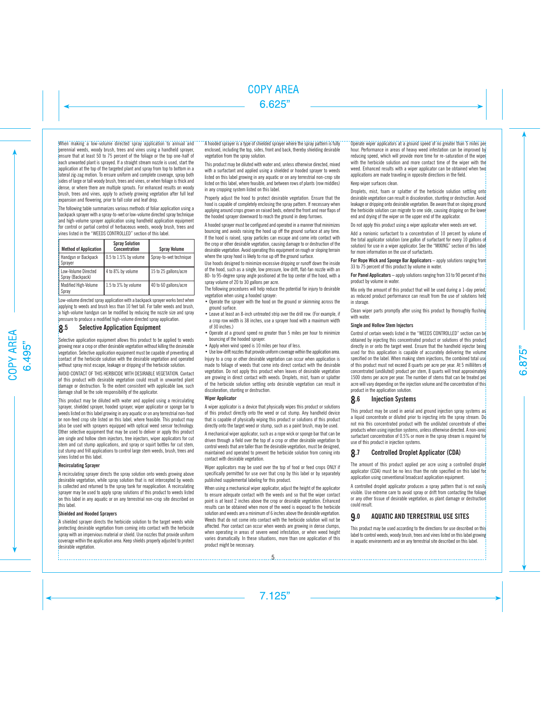When making a low-volume directed spray application to annual and perennial weeds, woody brush, trees and vines using a handheld sprayer, ensure that at least 50 to 75 percent of the foliage or the top one-half of each unwanted plant is sprayed. If a straight stream nozzle is used, start the application at the top of the targeted plant and spray from top to bottom in a lateral zig-zag motion. To ensure uniform and complete coverage, spray both sides of large or tall woody brush, trees and vines, or when foliage is thick and dense, or where there are multiple sprouts. For enhanced results on woody brush, trees and vines, apply to actively growing vegetation after full leaf expansion and flowering, prior to fall color and leaf drop.

The following table summarizes various methods of foliar application using a backpack sprayer with a spray-to-wet or low-volume directed spray technique and high-volume sprayer application using handheld application equipment for control or partial control of herbaceous weeds, woody brush, trees and vines listed in the "WEEDS CONTROLLED" section of this label.

| <b>Method of Application</b>            | <b>Spray Solution</b><br>Concentration | <b>Spray Volume</b>    |
|-----------------------------------------|----------------------------------------|------------------------|
| Handgun or Backpack<br>Sprayer          | $\vert$ 0.5 to 1.5% by volume          | Spray-to-wet technique |
| Low-Volume Directed<br>Spray (Backpack) | 4 to 8% by volume                      | 15 to 25 gallons/acre  |
| Modified High-Volume<br>Spray           | 1.5 to 3% by volume                    | 40 to 60 gallons/acre  |

Low-volume directed spray application with a backpack sprayer works best when applying to weeds and brush less than 10 feet tall. For taller weeds and brush, a high-volume handgun can be modified by reducing the nozzle size and spray pressure to produce a modified high-volume directed spray application.

## **8.5** Selective Application Equipment

Selective application equipment allows this product to be applied to weeds growing near a crop or other desirable vegetation without killing the desireable vegetation. Selective application equipment must be capable of preventing all contact of the herbicide solution with the desirable vegetation and operated without spray mist escape, leakage or dripping of the herbicide solution.

AVOID CONTACT OF THIS HERBICIDE WITH DESIRABLE VEGETATION. Contact of this product with desirable vegetation could result in unwanted plant damage or destruction. To the extent consistent with applicable law, such damage shall be the sole responsibility of the applicator.

This product may be diluted with water and applied using a recirculating sprayer, shielded sprayer, hooded sprayer, wiper applicator or sponge bar to weeds listed on this label growing in any aquatic or on any terrestrial non-food or non-feed crop site listed on this label, where feasible. This product may also be used with sprayers equipped with optical weed sensor technology. Other selective equipment that may be used to deliver or apply this product are single and hollow stem injectors, tree injectors, wiper applicators for cut stem and cut stump applications, and spray or squirt bottles for cut stem, cut stump and frill applications to control large stem weeds, brush, trees and vines listed on this label.

#### **Recirculating Sprayer**

A recirculating sprayer directs the spray solution onto weeds growing above desirable vegetation, while spray solution that is not intercepted by weeds is collected and returned to the spray tank for reapplication. A recirculating sprayer may be used to apply spray solutions of this product to weeds listed on this label in any aquatic or on any terrestrial non-crop site described on this label.

## **Shielded and Hooded Sprayers**

A shielded sprayer directs the herbicide solution to the target weeds while protecting desirable vegetation from coming into contact with the herbicide spray with an impervious material or shield. Use nozzles that provide uniform coverage within the application area. Keep shields properly adjusted to protect desirable vegetation.

A hooded sprayer is a type of shielded sprayer where the spray pattern is fully enclosed, including the top, sides, front and back, thereby shielding desirable vegetation from the spray solution.

This product may be diluted with water and, unless otherwise directed, mixed with a surfactant and applied using a shielded or hooded sprayer to weeds listed on this label growing in any aquatic or on any terrestrial non-crop site listed on this label, where feasible, and between rows of plants (row middles) in any cropping system listed on this label.

Properly adjust the hood to protect desirable vegetation. Ensure that the hood is capable of completely enclosing the spray pattern. If necessary when applying around crops grown on raised beds, extend the front and rear flaps of the hooded sprayer downward to reach the ground in deep furrows.

A hooded sprayer must be configured and operated in a manner that minimizes bouncing and avoids raising the hood up off the ground surface at any time. If the hood is raised, spray particles can escape and come into contact with the crop or other desirable vegetation, causing damage to or destruction of the desirable vegetation. Avoid operating this equipment on rough or sloping terrain where the spray hood is likely to rise up off the ground surface.

Use hoods designed to minimize excessive dripping or runoff down the inside of the hood, such as a single, low pressure, low drift, flat-fan nozzle with an 80- to 95-degree spray angle positioned at the top center of the hood, with a spray volume of 20 to 30 gallons per acre.

The following procedures will help reduce the potential for injury to desirable vegetation when using a hooded sprayer:

- Operate the sprayer with the hood on the ground or skimming across the ground surface.
- Leave at least an 8-inch untreated strip over the drill row. (For example, if a crop row width is 38 inches, use a sprayer hood with a maximum width of 30 inches.)
- Operate at a ground speed no greater than 5 miles per hour to minimize bouncing of the hooded sprayer.
- Apply when wind speed is 10 miles per hour of less.

• Use low-drift nozzles that provide uniform coverage within the application area. Injury to a crop or other desirable vegetation can occur when application is made to foliage of weeds that come into direct contact with the desirable vegetation. Do not apply this product when leaves of desirable vegetation are growing in direct contact with weeds. Droplets, mist, foam or splatter of the herbicide solution settling onto desirable vegetation can result in discoloration, stunting or destruction.

#### **Wiper Applicator**

A wiper applicator is a device that physically wipes this product or solutions of this product directly onto the weed or cut stump. Any handheld device that is capable of physically wiping this product or solutions of this product directly onto the target weed or stump, such as a paint brush, may be used.

A mechanical wiper applicator, such as a rope wick or sponge bar that can be driven through a field over the top of a crop or other desirable vegetation to control weeds that are taller than the desirable vegetation, must be designed, maintained and operated to prevent the herbicide solution from coming into contact with desirable vegetation.

Wiper applicators may be used over the top of food or feed crops ONLY if specifically permitted for use over that crop by this label or by separately published supplemental labeling for this product.

When using a mechanical wiper applicator, adjust the height of the applicator to ensure adequate contact with the weeds and so that the wiper contact point is at least 2 inches above the crop or desirable vegetation. Enhanced results can be obtained when more of the weed is exposed to the herbicide solution and weeds are a minimum of 6 inches above the desirable vegetation. Weeds that do not come into contact with the herbicide solution will not be affected. Poor contact can occur when weeds are growing in dense clumps, when operating in areas of severe weed infestation, or when weed height varies dramatically. In these situations, more than one application of this product might be necessary.

## Operate wiper applicators at a ground speed of no greater than 5 miles per

hour. Performance in areas of heavy weed infestation can be improved by reducing speed, which will provide more time for re-saturation of the wiper with the herbicide solution and more contact time of the wiper with the weed. Enhanced results with a wiper applicator can be obtained when two applications are made traveling in opposite directions in the field.

## Keep wiper surfaces clean.

Droplets, mist, foam or splatter of the herbicide solution settling onto desirable vegetation can result in discoloration, stunting or destruction. Avoid leakage or dripping onto desirable vegetation. Be aware that on sloping ground the herbicide solution can migrate to one side, causing dripping on the lower end and drying of the winer on the upper end of the applicator.

Do not apply this product using a wiper applicator when weeds are wet.

Add a nonionic surfactant to a concentration of 10 percent by volume of the total applicator solution (one gallon of surfactant for every 10 gallons of solution) for use in a wiper applicator. See the "MIXING" section of this label for more information on the use of surfactants.

**For Rope Wick and Sponge Bar Applicators –** apply solutions ranging from 33 to 75 percent of this product by volume in water.

**For Panel Applicators** – apply solutions ranging from 33 to 90 percent of this product by volume in water.

Mix only the amount of this product that will be used during a 1-day period, as reduced product performance can result from the use of solutions held in storage.

Clean wiper parts promptly after using this product by thoroughly flushing with water.

#### **Single and Hollow Stem Injectors**

Control of certain weeds listed in the "WEEDS CONTROLLED" section can be obtained by injecting this concentrated product or solutions of this product directly in or onto the target weed. Ensure that the handheld injector being used for this application is capable of accurately delivering the volume specified on the label. When making stem injections, the combined total use of this product must not exceed 8 quarts per acre per year. At 5 milliliters of concentrated (undiluted) product per stem, 8 quarts will treat approximately 1500 stems per acre per year. The number of stems that can be treated per acre will vary depending on the injection volume and the concentration of this product in the application solution.

## 8.6 Injection Systems

This product may be used in aerial and ground injection spray systems as a liquid concentrate or diluted prior to injecting into the spray stream. Do not mix this concentrated product with the undiluted concentrate of other products when using injection systems, unless otherwise directed. A non-ionic surfactant concentration of 0.5% or more in the spray stream is required for use of this product in injection systems.

## 8.7 Controlled Droplet Applicator (CDA)

The amount of this product applied per acre using a controlled droplet applicator (CDA) must be no less than the rate specified on this label for application using conventional broadcast application equipment.

A controlled droplet applicator produces a spray pattern that is not easily visible. Use extreme care to avoid spray or drift from contacting the foliage or any other tissue of desirable vegetation, as plant damage or destruction could result.

## 9.0 AQUATIC AND TERRESTRIAL USE SITES

This product may be used according to the directions for use described on this label to control weeds, woody brush, trees and vines listed on this label growing in aquatic environments and on any terrestrial site described on this label.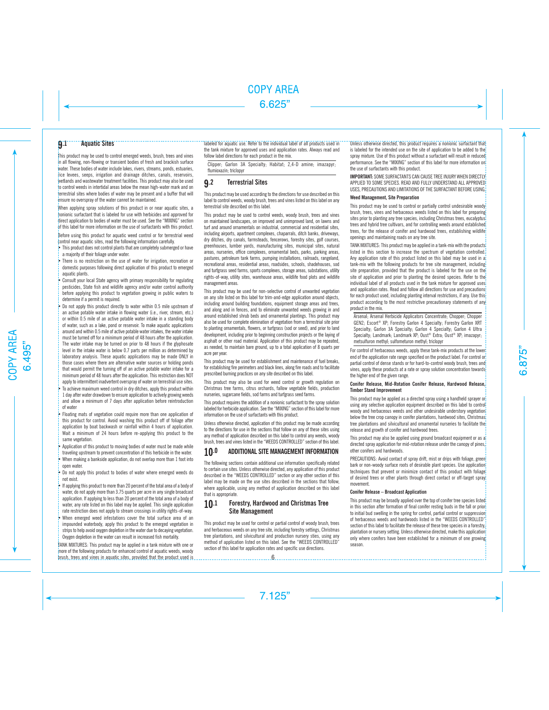## 9.1 Aquatic Sites

This product may be used to control emerged weeds, brush, trees and vines in all flowing, non-flowing or transient bodies of fresh and brackish surface water. These bodies of water include lakes, rivers, streams, ponds, estuaries, rice levees, seeps, irrigation and drainage ditches, canals, reservoirs, wetlands and wastewater treatment facilities. This product may also be used to control weeds in intertidal areas below the mean high-water mark and on terrestrial sites where bodies of water may be present and a buffer that will ensure no overspray of the water cannot be maintained.

When applying spray solutions of this product in or near aquatic sites, a honionic surfactant that is labeled for use with herbicides and approved for direct application to bodies of water must be used. See the "MIXING" section of this label for more information on the use of surfactants with this product.

Before using this product for aquatic weed control or for terrestrial weed control near aquatic sites, read the following information carefully.

- This product does not control plants that are completely submerged or have a majority of their foliage under water.
- There is no restriction on the use of water for irrigation, recreation or domestic purposes following direct application of this product to emerged aquatic plants.

• Consult your local State agency with primary responsibility for regulating pesticides, State fish and wildlife agency and/or water control authority before applying this product to vegetation growing in public waters to determine if a permit is required.

• Do not apply this product directly to water within 0.5 mile upstream of an active potable water intake in flowing water (i.e., river, stream, etc.) or within 0.5 mile of an active potable water intake in a standing body of water, such as a lake, pond or reservoir. To make aquatic applications around and within 0.5 mile of active potable water intakes, the water intake must be turned off for a minimum period of 48 hours after the application. The water intake may be turned on prior to 48 hours if the glyphosate level in the intake water is below 0.7 parts per million as determined by laboratory analysis. These aquatic applications may be made ONLY in those cases where there are alternative water sources or holding ponds that would permit the turning off of an active potable water intake for a minimum period of 48 hours after the application. This restriction does NOT apply to intermittent inadvertent overspray of water on terrestrial use sites. • To achieve maximum weed control in dry ditches, apply this product within 1 day after water drawdown to ensure application to actively growing weeds and allow a minimum of 7 days after application before reintroduction of water

• Floating mats of vegetation could require more than one application of this product for control. Avoid washing this product off of foliage after application by boat backwash or rainfall within 4 hours of application. Wait a minimum of 24 hours before re-applying this product to the same vegetation.

Application of this product to moving bodies of water must be made while traveling upstream to prevent concentration of this herbicide in the water. • When making a bankside application, do not overlap more than 1 foot into open water.

• Do not apply this product to bodies of water where emerged weeds do not exist.

• If applying this product to more than 20 percent of the total area of a body of water, do not apply more than 3.75 quarts per acre in any single broadcast application. If applying to less than 20 percent of the total area of a body of water, any rate listed on this label may be applied. This single application rate restriction does not apply to stream crossings in utility rights-of-way. When emerged weed infestations cover the total surface area of an impounded waterbody, apply this product to the emerged vegetation in strips to help avoid oxygen depletion in the water due to decaying vegetation. Oxygen depletion in the water can result in increased fish mortality.

TANK MIXTURES: This product may be applied in a tank mixture with one or more of the following products for enhanced control of aquatic weeds, woody brush, trees and vines in aquatic sites, provided that the product used is labeled for aquatic use. Refer to the individual label of all products used in the tank mixture for approved uses and application rates. Always read and follow label directions for each product in the mix.

Clipper; Garlon 3A Specialty; Habitat; 2,4-D amine; imazapyr; flumioxazin; triclopyr

## 9.2 Terrestrial Sites

This product may be used according to the directions for use described on this label to control weeds, woody brush, trees and vines listed on this label on any terrestrial site described on this label.

This product may be used to control weeds, woody brush, trees and vines on maintained landscapes, on improved and unimproved land, on lawns and turf and around ornamentals on industrial, commercial and residential sites, including airports, apartment complexes, chaparrals, ditch banks, driveways, dry ditches, dry canals, farmsteads, fencerows, forestry sites, golf courses, greenhouses, lumber yards, manufacturing sites, municipal sites, natural areas, nurseries, office complexes, ornamental beds, parks, parking areas, pastures, petroleum tank farms, pumping installations, railroads, rangeland, recreational areas, residential areas, roadsides, schools, shadehouses, sod and turfgrass seed farms, sports complexes, storage areas, substations, utility rights-of-way, utility sites, warehouse areas, wildlife food plots and wildlife management areas.

This product may be used for non-selective control of unwanted vegetation on any site listed on this label for trim-and-edge application around objects, including around building foundations, equipment storage areas and trees. and along and in fences, and to eliminate unwanted weeds growing in and around established shrub beds and ornamental plantings. This product may also be used for complete elimination of vegetation from a terrestrial site prior to planting ornamentals, flowers, or turfgrass (sod or seed), and prior to land development, including prior to beginning construction projects or the laying of asphalt or other road material. Application of this product may be repeated, as needed, to maintain bare ground, up to a total application of 8 quarts per acre per year.

This product may be used for establishment and maintenance of fuel breaks, for establishing fire perimeters and black lines, along fire roads and to facilitate prescribed burning practices on any site described on this label.

This product may also be used for weed control or growth regulation on Christmas tree farms, citrus orchards, fallow vegetable fields, production nurseries, sugarcane fields, sod farms and turfgrass seed farms.

This product requires the addition of a nonionic surfactant to the spray solution labeled for herbicide application. See the "MIXING" section of this label for more information on the use of surfactants with this product.

Unless otherwise directed, application of this product may be made according to the directions for use in the sections that follow on any of these sites using any method of application described on this label to control any weeds, woody brush, trees and vines listed in the "WEEDS CONTROLLED" section of this label.

## 10.0 ADDITIONAL SITE MANAGEMENT INFORMATION

The following sections contain additional use information specifically related to certain use sites. Unless otherwise directed, any application of this product described in the "WEEDS CONTROLLED" section or any other section of this label may be made on the use sites described in the sections that follow, where applicable, using any method of application described on this label that is appropriate.

## 10.1 Forestry, Hardwood and Christmas Tree Site Management

This product may be used for control or partial control of woody brush, trees and herbaceous weeds on any tree site, including forestry settings, Christmas tree plantations, and silvicultural and production nursery sties, using any method of application listed on this label. See the "WEEDS CONTROLLED" section of this label for application rates and specific use directions.

Unless otherwise directed, this product requires a nonionic surfactant that

is labeled for the intended use on the site of application to be added to the spray mixture. Use of this product without a surfactant will result in reduced performance. See the "MIXING" section of this label for more information on the use of surfactants with this product.

**IMPORTANT:** SOME SURFACTANTS CAN CAUSE TREE INJURY WHEN DIRECTLY APPLIED TO SOME SPECIES. READ AND FULLY UNDERSTAND ALL APPROVED USES, PRECAUTIONS AND LIMITATIONS OF THE SURFACTANT BEFORE USING.

#### **Weed Management, Site Preparation**

This product may be used to control or partially control undesirable woody brush, trees, vines and herbaceous weeds listed on this label for preparing sites prior to planting any tree species, including Christmas trees, eucalyptus trees and hybrid tree cultivars, and for controlling weeds around established trees, for the release of conifer and hardwood trees, establishing wildlife openings and maintaining roads on any tree site.

TANK MIXTURES: This product may be applied in a tank-mix with the products listed in this section to increase the spectrum of vegetation controlled. Any application rate of this product listed on this label may be used in a tank-mix with the following products for tree site management, including site preparation, provided that the product is labeled for the use on the site of application and prior to planting the desired species. Refer to the individual label of all products used in the tank mixture for approved uses and application rates. Read and follow all directions for use and precautions for each product used, including planting interval restrictions, if any. Use this product according to the most restrictive precautionary statements of any product in the mix.

Arsenal; Arsenal Herbicide Applicators Concentrate; Chopper; Chopper GEN2; Escort® XP; Forestry Garlon 4 Specialty; Forestry Garlon XRT Specialty; Garlon 3A Specialty; Garlon 4 Specialty; Garlon 4 Ultra Specialty; Landmark; Landmark XP; Oust® Extra; Oust® XP; imazapyr; metsulfuron methyl; sulfometuron methyl; triclopyr

For control of herbaceous weeds, apply these tank-mix products at the lower end of the application rate range specified on the product label. For control or partial control of dense stands or for hard-to-control woody brush, trees and vines, apply these products at a rate or spray solution concentration towards the higher end of the given range.

#### **Conifer Release, Mid-Rotation Conifer Release, Hardwood Release, Timber Stand Improvement**

This product may be applied as a directed spray using a handheld sprayer or using any selective application equipment described on this label to control woody and herbaceous weeds and other undesirable understory vegetation below the tree crop canopy in conifer plantations, hardwood sites, Christmas tree plantations and silvicultural and ornamental nurseries to facilitate the release and growth of conifer and hardwood trees.

This product may also be applied using ground broadcast equipment or as a directed spray application for mid-rotation release under the canopy of pines, other conifers and hardwoods.

PRECAUTIONS: Avoid contact of spray drift, mist or drips with foliage, green bark or non-woody surface roots of desirable plant species. Use application techniques that prevent or minimize contact of this product with foliage of desired trees or other plants through direct contact or off-target spray movement.

#### **Conifer Release – Broadcast Application**

This product may be broadly applied over the top of conifer tree species listed in this section after formation of final conifer resting buds in the fall or prior to initial bud swelling in the spring for control, partial control or suppression of herbaceous weeds and hardwoods listed in the "WEEDS CONTROLLED" section of this label to facilitate the release of these tree species in a forestry. plantation or nursery setting. Unless otherwise directed, make this application only where conifers have been established for a minimum of one growing season.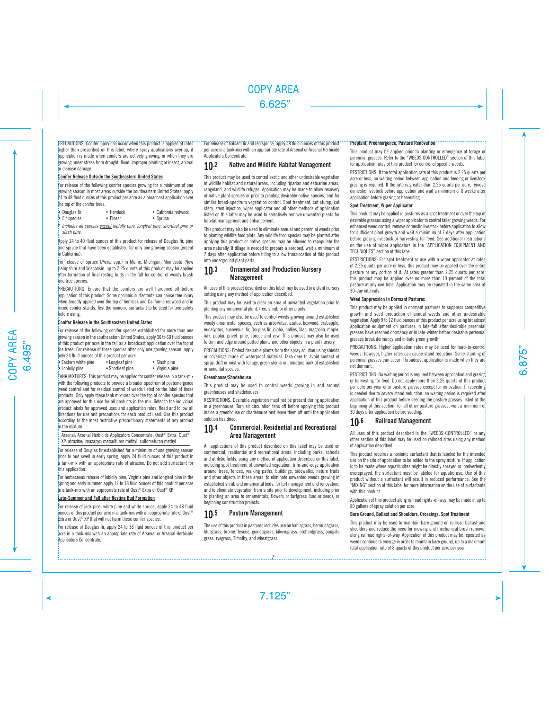## PRECAUTIONS: Conifer injury can occur when this product is applied at rates

higher than prescribed on this label, where spray applications overlap, if application is made when conifers are actively growing, or when they are growing under stress from drought, flood, improper planting or insect, animal or disease damage.

### **Conifer Release Outside the Southeastern United States**

For release of the following conifer species growing for a minimum of one growing season in most areas outside the southeastern United States, apply 24 to 48 fluid ounces of this product per acre as a broadcast application over the top of the conifer trees.

- Douglas fir Hemlock California redwood
- Fir species
- 

\* *Includes all species except loblolly pine, longleaf pine, shortleaf pine or slash pine.*

Apply 24 to 40 fluid ounces of this product for release of Douglas fir, pine and spruce that have been established for only one growing season (except in California).

For release of spruce (*Picea* spp.) in Maine, Michigan, Minnesota, New Hampshire and Wisconsin, up to 2.25 quarts of this product may be applied after formation of final resting buds in the fall for control of woody brush and tree species.

PRECAUTIONS: Ensure that the conifers are well hardened off before application of this product. Some nonionic surfactants can cause tree injury when broadly applied over the top of hemlock and California redwood and in mixed conifer stands. Test the nonionic surfactant to be used for tree safety before using.

#### **Conifer Release in the Southeastern United States**

For release of the following conifer species established for more than one growing season in the southeastern United States, apply 36 to 60 fluid ounces of this product per acre in the fall as a broadcast application over the top of the trees. For release of these species after only one growing season, apply only 24 fluid ounces of this product per acre.

| $\mu$ , $\mu$ and $\mu$ and $\mu$ and $\mu$ and $\mu$ and $\mu$ and $\mu$ |                  |                 |
|---------------------------------------------------------------------------|------------------|-----------------|
| • Eastern white pine                                                      | • Longleaf pine  | • Slash pine    |
| • Loblolly pine                                                           | • Shortleaf pine | • Virginia pine |

TANK MIXTURES: This product may be applied for conifer release in a tank-mix with the following products to provide a broader spectrum of postemergence weed control and for residual control of weeds listed on the label of those products. Only apply these tank mixtures over the top of conifer species that are approved for this use for all products in the mix. Refer to the individual product labels for approved uses and application rates. Read and follow all directions for use and precautions for each product used. Use this product according to the most restrictive precautionary statements of any product in the mixture.

Arsenal; Arsenal Herbicide Applicators Concentrate; Oust® Extra; Oust® XP; atrazine; imazapyr; metsulfuron methyl; sulfometuron methyl

For release of Douglas fir established for a minimum of one growing season prior to bud swell in early spring, apply 24 fluid ounces of this product in a tank-mix with an appropriate rate of atrazine. Do not add surfactant for this application.

For herbaceous release of loblolly pine, Virginia pine and longleaf pine in the spring and early summer, apply 12 to 18 fluid ounces of this product per acre in a tank-mix with an appropriate rate of Oust® Extra or Oust® XP.

## **Late-Summer and Fall after Resting Bud Formation**

For release of jack pine, white pine and white spruce, apply 24 to 48 fluid punces of this product per acre in a tank-mix with an appropriate rate of Oust® Extra or Oust® XP that will not harm these conifer species.

For release of Douglas fir, apply 24 to 36 fluid ounces of this product per acre in a tank-mix with an appropriate rate of Arsenal or Arsenal Herbicide Applicators Concentrate.

For release of balsam fir and red spruce, apply 48 fluid ounces of this product per acre in a tank-mix with an appropriate rate of Arsenal or Arsenal Herbicide Applicators Concentrate.

## 10.2 Native and Wildlife Habitat Management

This product may be used to control exotic and other undesirable vegetation in wildlife habitat and natural areas, including riparian and estuarine areas, rangeland, and wildlife refuges. Application may be made to allow recovery of native plant species or prior to planting desirable native species, and for similar broad-spectrum vegetation control. Spot treatment, cut stump, cut stem, stem injection, wiper applicator and all other methods of application listed on this label may be used to selectively remove unwanted plants for habitat management and enhancement.

This product may also be used to eliminate annual and perennial weeds prior to planting wildlife food plots. Any wildlife food species may be planted after applying this product or native species may be allowed to repopulate the area naturally. If tillage is needed to prepare a seedbed, wait a minimum of 7 days after application before tilling to allow translocation of this product into underground plant parts.

## 10.3 Ornamental and Production Nursery Management

All uses of this product described on this label may be used in a plant nursery setting using any method of application described.

This product may be used to clear an area of unwanted vegetation prior to planting any ornamental plant, tree, shrub or other plants.

This product may also be used to control weeds growing around established woody ornamental species, such as arborvitae, azalea, boxwood, crabapple, eucalyptus, euonymus, fir, Douglas fir, jojoba, hollies, lilac, magnolia, maple, oak, poplar, privet, pine, spruce and yew. This product may also be used to trim and edge around potted plants and other objects in a plant nursery.

PRECAUTIONS: Protect desirable plants from the spray solution using shields or coverings made of waterproof material. Take care to avoid contact of spray, drift or mist with foliage, green stems or immature bark of established ornamental species.

#### **Greenhouse/Shadehouse**

This product may be used to control weeds growing in and around greenhouses and shadehouses.

RESTRICTIONS: Desirable vegetation must not be present during application in a greenhouse. Turn air circulation fans off before applying this product inside a greenhouse or shadehouse and leave them off until the application solution has dried.

## 10.4 Commercial, Residential and Recreational Area Management

All applications of this product described on this label may be used on commercial, residential and recreational areas, including parks, schools and athletic fields, using any method of application described on this label, including spot treatment of unwanted vegetation, trim-and-edge application around trees, fences, walking paths, buildings, sidewalks, nature trails and other objects in these areas, to eliminate unwanted weeds growing in established shrub and ornamental beds, for turf management and renovation, and to eliminate vegetation from a site prior to development, including prior to planting an area to ornamentals, flowers or turfgrass (sod or seed), or beginning construction projects.

## 10.5 Pasture Management

The use of this product in pastures includes use on bahiagrass, bermudagrass, bluegrass, brome, fescue, guineagrass, kikuyugrass, orchardgrass, pangola grass, ryegrass, Timothy, and wheatgrass.

#### **Preplant, Preemergence, Pasture Renovation**

This product may be applied prior to planting or emergence of forage or perennial grasses. Refer to the "WEEDS CONTROLLED" section of this label for application rates of this product for control of specific weeds.

RESTRICTIONS: If the total application rate of this product is 2.25 quarts per acre or less, no waiting period between application and feeding or livestock grazing is required. If the rate is greater than 2.25 quarts per acre, remove domestic livestock before application and wait a minimum of 8 weeks after application before grazing or harvesting.

#### **Spot Treatment, Wiper Applicator**

This product may be applied in pastures as a spot treatment or over the top of desirable grasses using a wiper applicator to control taller growing weeds. For enhanced weed control, remove domestic livestock before application to allow for sufficient plant growth and wait a minimum of 7 days after application before grazing livestock or harvesting for feed. See additional instructions on the use of wiper applicators in the "APPLICATION EQUIPMENT AND TECHNIQUES" section of this label.

RESTRICTIONS: For spot treatment or use with a wiper applicator at rates of 2.25 quarts per acre or less, this product may be applied over the entire pasture or any portion of it. At rates greater than 2.25 quarts per acre, this product may be applied over no more than 10 percent of the total pasture at any one time. Application may be repeated in the same area at 30-day intervals.

### **Weed Suppression in Dormant Pastures**

This product may be applied in dormant pastures to suppress competitive growth and seed production of annual weeds and other undesirable vegetation. Apply 9 to 12 fluid ounces of this product per acre using broadcast application equipment on pastures in late-fall after desirable perennial grasses have reached dormancy or in late-winter before desirable perennial grasses break dormancy and initiate green growth.

PRECAUTIONS: Higher application rates may be used for hard-to-control weeds; however, higher rates can cause stand reduction. Some stunting of perennial grasses can occur if broadcast application is made when they are not dormant.

RESTRICTIONS: No waiting period is required between application and grazing or harvesting for feed. Do not apply more than 2.25 quarts of this product per acre per year onto pasture grasses except for renovation. If reseeding is needed due to severe stand reduction, no waiting period is required after application of this product before seeding the pasture grasses listed at the beginning of this section; for all other pasture grasses, wait a minimum of 30 days after application before seeding.

## 10.6 Railroad Management

All uses of this product described in the "WEEDS CONTROLLED" or any other section of this label may be used on railroad sites using any method of application described.

This product requires a nonionic surfactant that is labeled for the intended use on the site of application to be added to the spray mixture. If application is to be made where aquatic sites might be directly sprayed or inadvertently oversprayed, the surfactant must be labeled for aquatic use. Use of this product without a surfactant will result in reduced performance. See the "MIXING" section of this label for more information on the use of surfactants with this product.

Application of this product along railroad rights-of-way may be made in up to 80 gallons of spray solution per acre.

#### **Bare Ground, Ballast and Shoulders, Crossings, Spot Treatment**

This product may be used to maintain bare ground on railroad ballast and shoulders and reduce the need for mowing and mechanical brush removal along railroad rights-of-way. Application of this product may be repeated as weeds continue to emerge in order to maintain bare ground, up to a maximum total application rate of 8 quarts of this product per acre per year.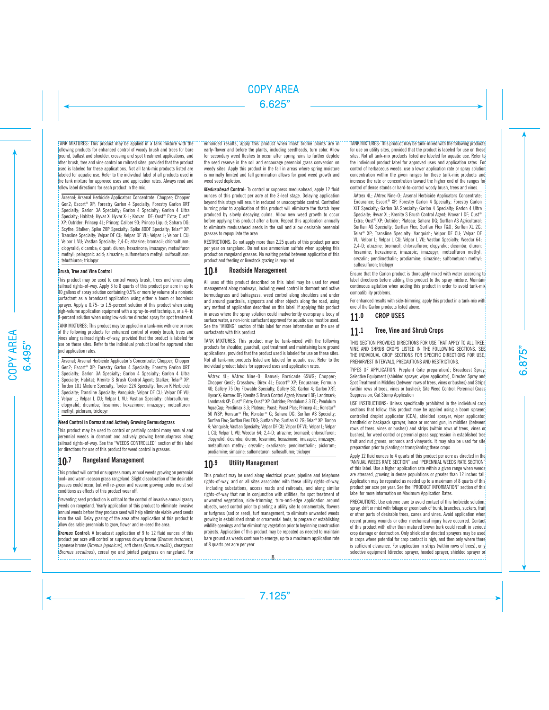TANK MIXTURES: This product may be applied in a tank mixture with the following products for enhanced control of woody brush and trees for bare ground, ballast and shoulder, crossing and spot treatment applications, and other brush, tree and vine control on railroad sites, provided that the product used is labeled for these applications. Not all tank-mix products listed are labeled for aquatic use. Refer to the individual label of all products used in the tank mixture for approved uses and application rates. Always read and follow label directions for each product in the mix.

Arsenal; Arsenal Herbicide Applicators Concentrate; Chopper; Chopper Gen2; Escort® XP; Forestry Garlon 4 Specialty; Forestry Garlon XRT Specialty; Garlon 3A Specialty; Garlon 4 Specialty; Garlon 4 Ultra Specialty; Habitat; Hyvar X; Hyvar X-L; Krovar I DF; Oust® Extra; Oust® XP; Outrider; Princep 4L; Princep Caliber 90; Princep Liquid; Sahara DG; Scythe: Stalker: Spike 20P Specialty; Spike 80DF Specialty; Telar<sup>®</sup> XP; Transline Specialty; Velpar DF CU; Velpar DF VU; Velpar L; Velpar L CU; Velpar L VU; Vastlan Specialty; 2,4-D; atrazine; bromacil; chlorsulfuron; clopyralid; dicamba; diquat; diuron; hexazinone; imazapyr; metsulfuron methyl; pelargonic acid; simazine; sulfometuron methyl; sulfosulfuron; tebuthiuron; triclopyr

#### **Brush, Tree and Vine Control**

This product may be used to control woody brush, trees and vines along railroad rights-of-way. Apply 3 to 8 quarts of this product per acre in up to 80 gallons of spray solution containing 0.5% or more by volume of a nonionic surfactant as a broadcast application using either a boom or boomless sprayer. Apply a 0.75- to 1.5-percent solution of this product when using high-volume application equipment with a spray-to-wet technique, or a 4- to 8-percent solution when using low-volume directed spray for spot treatment.

TANK MIXTURES: This product may be applied in a tank-mix with one or more of the following products for enhanced control of woody brush, trees and vines along railroad rights-of-way, provided that the product is labeled for use on these sites. Refer to the individual product label for approved sites and application rates.

Arsenal; Arsenal Herbicide Applicator's Concentrate; Chopper; Chopper Gen2; Escort® XP; Forestry Garlon 4 Specialty; Forestry Garlon XRT Specialty; Garlon 3A Specialty; Garlon 4 Specialty; Garlon 4 Ultra Specialty: Habitat: Krenite S Brush Control Agent: Stalker: Telar® XP; Tordon 101 Mixture Specialty; Tordon 22K Specialty; Tordon K Herbicide Specialty; Transline Specialty; Vanquish; Velpar DF CU; Velpar DF VU; Velpar L; Velpar L CU; Velpar L VU; Vastlan Specialty: chlorsulfuron; clopyralid; dicamba; fosamine; hexazinone; imazapyr; metsulfuron methyl; picloram; triclopyr

#### **Weed Control in Dormant and Actively Growing Bermudagrass**

This product may be used to control or partially control many annual and perennial weeds in dormant and actively growing bermudagrass along railroad rights-of-way. See the "WEEDS CONTROLLED" section of this label for directions for use of this product for weed control in grasses.

## 10.7 Rangeland Management

This product will control or suppress many annual weeds growing on perennial cool- and warm-season grass rangeland. Slight discoloration of the desirable grasses could occur, but will re-green and resume growing under moist soil conditions as effects of this product wear off.

Preventing seed production is critical to the control of invasive annual grassy weeds on rangeland. Yearly application of this product to eliminate invasive annual weeds before they produce seed will help eliminate viable weed seeds from the soil. Delay grazing of the area after application of this product to allow desirable perennials to grow, flower and re-seed the area.

*Bromus* **Control:** A broadcast application of 9 to 12 fluid ounces of this product per acre will control or suppress downy brome (*Bromus tectorum*), Japanese brome (*Bromus japonicus*), soft chess (*Bromus mollis*), cheatgrass (*Bromus secalinus*), cereal rye and jointed goatgrass on rangeland. For

enhanced results, apply this product when most brome plants are in early-flower and before the plants, including seedheads, turn color. Allow for secondary weed flushes to occur after spring rains to further deplete the seed reserve in the soil and encourage perennial grass conversion on weedy sites. Apply this product in the fall in areas where spring moisture is normally limited and fall germination allows for good weed growth and weed seed depletion.

*Medusahead* **Control:** To control or suppress medusahead, apply 12 fluid ounces of this product per acre at the 3-leaf stage. Delaying application beyond this stage will result in reduced or unacceptable control. Controlled burning prior to application of this product will eliminate the thatch layer produced by slowly decaying culms. Allow new weed growth to occur before applying this product after a burn. Repeat this application annually to eliminate medusahead seeds in the soil and allow desirable perennial grasses to repopulate the area.

RESTRICTIONS: Do not apply more than 2.25 quarts of this product per acre per year on rangeland. Do not use ammonium sulfate when applying this product on rangeland grasses. No waiting period between application of this product and feeding or livestock grazing is required.

## 10.8 Roadside Management

All uses of this product described on this label may be used for weed management along roadways, including weed control in dormant and active bermudagrass and bahiagrass, weed control along shoulders and under and around guardrails, signposts and other objects along the road, using any method of application described on this label. If applying this product in areas where the spray solution could inadvertently overspray a body of surface water, a non-ionic surfactant approved for aquatic use must be used. See the "MIXING" section of this label for more information on the use of surfactants with this product.

TANK MIXTURES: This product may be tank-mixed with the following products for shoulder, guardrail, spot treatment and maintaining bare ground applications, provided that the product used is labeled for use on these sites. Not all tank-mix products listed are labeled for aquatic use. Refer to the individual product labels for approved uses and application rates.

AAtrex 4L; AAtrex Nine-O; Banvel; Barricade 65WG; Chopper; Chopper Gen2; Crossbow; Direx 4L; Escort® XP; Endurance; Formula 40; Gallery 75 Dry Flowable Specialty; Gallery SC; Garlon 4; Garlon XRT; Hyvar X; Karmex DF; Krenite S Brush Control Agent; Krovar I DF; Landmark; Landmark XP; Oust® Extra; Oust® XP; Outrider; Pendulum 3.3 EC; Pendulum AquaCap; Pendimax 3.3; Plateau; Poast; Poast Plus; Princep 4L; Ronstar® 50 WSP; Ronstar® Flo; Ronstar® G; Sahara DG; Surflan AS Specialty; Surflan Flex; Surflan Flex T&O; Surflan Pro; Surflan XL 2G; Telar® XP; Tordon K; Vanquish; Vastlan Specialty; Velpar DF CU; Velpar DF VU; Velpar L; Velpar L CU; Velpar L VU; Weedar 64; 2,4-D; atrazine; bromacil; chlorsulfuron; clopyralid; dicamba; diuron; fosamine; hexazinone; imazapic; imazapyr; metsulfuron methyl; oryzalin; oxadiazon; pendimethalin; picloram; prodiamine; simazine; sulfometuron; sulfosulfuron; triclopyr

## 10.9 Utility Management

This product may be used along electrical power, pipeline and telephone rights-of-way, and on all sites associated with these utility rights-of-way, including substations, access roads and railroads, and along similar rights-of-way that run in conjunction with utilities, for spot treatment of unwanted vegetation, side-trimming, trim-and-edge application around objects, weed control prior to planting a utility site to ornamentals, flowers or turfgrass (sod or seed), turf management, to eliminate unwanted weeds growing in established shrub or ornamental beds, to prepare or establishing wildlife openings and for eliminating vegetation prior to beginning construction projects. Application of this product may be repeated as needed to maintain bare ground as weeds continue to emerge, up to a maximum application rate of 8 quarts per acre per year.

TANK MIXTURES: This product may be tank-mixed with the following products for use on utility sites, provided that the product is labeled for use on these sites. Not all tank-mix products listed are labeled for aquatic use. Refer to the individual product label for approved uses and application rates. For control of herbaceous weeds, use a lower application rate or spray solution concentration within the given ranges for these tank-mix products and increase the rate or concentration toward the higher end of the ranges for control of dense stands or hard-to-control woody brush, trees and vines.

AAtrex 4L; AAtrex Nine-O; Arsenal Herbicide Applicators Concentrate; Endurance; Escort® XP; Forestry Garlon 4 Specialty; Forestry Garlon XLT Specialty; Garlon 3A Specialty; Garlon 4 Specialty; Garlon 4 Ultra Specialty; Hyvar XL; Krenite S Brush Control Agent; Krovar I DF; Oust<sup>®</sup> Extra; Oust® XP; Outrider; Plateau; Sahara DG; Surflan AS Agricultural; Surflan AS Specialty; Surflan Flex; Surflan Flex T&O; Surflan XL 2G; Telar® XP; Transline Specialty; Vanquish; Velpar DF CU; Velpar DF VU; Velpar L; Velpar L CU; Velpar L VU; Vastlan Specialty; Weedar 64; 2,4-D; atrazine; bromacil; chlorsulfuron; clopyralid; dicamba; diuron; fosamine; hexazinone; imazapic; imazapyr; metsulfuron methyl; oryzalin; pendimethalin; prodiamine; simazine; sulfometuron methyl; sulfosulfuron; triclopyr

Ensure that the Garlon product is thoroughly mixed with water according to label directions before adding this product to the spray mixture. Maintain continuous agitation when adding this product in order to avoid tank-mix compatibility problems.

For enhanced results with side-trimming, apply this product in a tank-mix with one of the Garlon products listed above.

## 11.0 CROP USES

## 11.1 Tree, Vine and Shrub Crops

THIS SECTION PROVIDES DIRECTIONS FOR USE THAT APPLY TO ALL TREE, VINE AND SHRUB CROPS LISTED IN THE FOLLOWING SECTIONS. SEE THE INDIVIDUAL CROP SECTIONS FOR SPECIFIC DIRECTIONS FOR USE, PREHARVEST INTERVALS, PRECAUTIONS AND RESTRICTIONS.

TYPES OF APPLICATION: Preplant (site preparation); Broadcast Spray, Selective Equipment (shielded sprayer, wiper applicator), Directed Spray and Spot Treatment in Middles (between rows of trees, vines or bushes) and Strips (within rows of trees, vines or bushes); Site Weed Control; Perennial Grass Suppression; Cut Stump Application

USE INSTRUCTIONS: Unless specifically prohibited in the individual crop sections that follow, this product may be applied using a boom sprayer, controlled droplet applicator (CDA), shielded sprayer, wiper applicator, handheld or backpack sprayer, lance or orchard gun, in middles (between rows of trees, vines or bushes) and strips (within rows of trees, vines or bushes), for weed control or perennial grass suppression in established tree fruit and nut groves, orchards and vinevards. It may also be used for site preparation prior to planting or transplanting these crops.

Apply 12 fluid ounces to 4 quarts of this product per acre as directed in the "ANNUAL WEEDS RATE SECTION" and "PERENNIAL WEEDS RATE SECTION" of this label. Use a higher application rate within a given range when weeds are stressed, growing in dense populations or greater than 12 inches tall. Application may be repeated as needed up to a maximum of 8 quarts of this product per acre per year. See the "PRODUCT INFORMATION" section of this label for more information on Maximum Application Rates.

PRECAUTIONS: Use extreme care to avoid contact of this herbicide solution, spray, drift or mist with foliage or green bark of trunk, branches, suckers, fruit or other parts of desirable trees, canes and vines. Avoid application when recent pruning wounds or other mechanical injury have occurred. Contact of this product with other than matured brown bark could result in serious crop damage or destruction. Only shielded or directed sprayers may be used in crops where potential for crop contact is high, and then only where there is sufficient clearance. For application in strips (within rows of trees), only selective equipment (directed sprayer, hooded sprayer, shielded sprayer or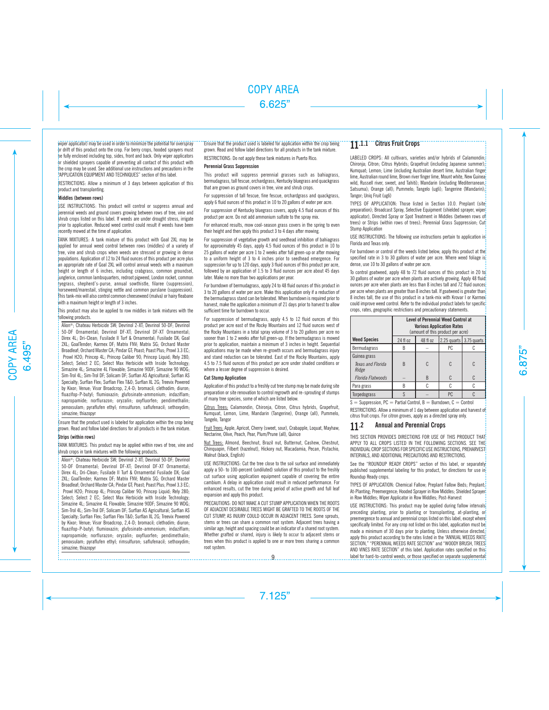#### wiper applicator) may be used in order to minimize the potential for overspray

or drift of this product onto the crop. For berry crops, hooded sprayers must be fully enclosed including top, sides, front and back. Only wiper applicators or shielded sprayers capable of preventing all contact of this product with the crop may be used. See additional use instructions and precautions in the "APPLICATION EQUIPMENT AND TECHNIQUES" section of this label.

RESTRICTIONS: Allow a minimum of 3 days between application of this product and transplanting.

#### **Middles (between rows)**

USE INSTRUCTIONS: This product will control or suppress annual and perennial weeds and ground covers growing between rows of tree, vine and shrub crops listed on this label. If weeds are under drought stress, irrigate prior to application. Reduced weed control could result if weeds have been recently mowed at the time of application.

TANK MIXTURES: A tank mixture of this product with Goal 2XL may be applied for annual weed control between rows (middles) of a variety of tree, vine and shrub crops when weeds are stressed or growing in dense populations. Application of 12 to 24 fluid ounces of this product per acre plus an appropriate rate of Goal 2XL will control annual weeds with a maximum height or length of 6 inches, including crabgrass, common groundsel, junglerice, common lambsquarters, redroot pigweed, London rocket, common ryegrass, shepherd's-purse, annual sowthistle, filaree (suppression), horseweed/marestail, stinging nettle and common purslane (suppression). This tank-mix will also control common cheeseweed (malva) or hairy fleabane with a maximum height or length of 3 inches.

This product may also be applied to row middles in tank mixtures with the following products.

Alion®; Chateau Herbicide SW; Devrinol 2-XT; Devrinol 50-DF; Devrinol 50-DF Ornamental; Devrinol DF-XT; Devrinol DF-XT Ornamental; Direx 4L; Dri-Clean; Fusilade II Turf & Ornamental; Fusilade DX; Goal 2XL; GoalTender; Karmex DF; Matrix FNV; Matrix SG; Orchard Master Broadleaf; Orchard Master CA; Pindar GT; Poast; Poast Plus; Prowl 3.3 EC; Prowl H2O; Princep 4L; Princep Caliber 90; Princep Liquid; Rely 280; Select; Select 2 EC; Select Max Herbicide with Inside Technology; Simazine 4L; Simazine 4L Flowable; Simazine 90DF; Simazine 90 WDG; Sim-Trol 4L; Sim-Trol DF; Solicam DF; Surflan AS Agricultural; Surflan AS Specialty; Surflan Flex; Surflan Flex T&O; Surflan XL 2G; Treevix Powered by Kixor; Venue; Visor Broadcrop, 2,4-D; bromacil; clethodim; diuron; fluazifop-P-butyl; flumioxazin; glufosinate-ammonium; indaziflam; napropamide; norflurazon; oryzalin; oxyfluorfen; pendimethalin; penoxsulam; pyraflufen ethyl; rimsulfuron; saflufenacil; sethoxydim; simazine; thiazopyr

Ensure that the product used is labeled for application within the crop being grown. Read and follow label directions for all products in the tank mixture.

#### **Strips (within rows)**

TANK MIXTURES: This product may be applied within rows of tree, vine and shrub crops in tank mixtures with the following products.

Alion®; Chateau Herbicide SW; Devrinol 2-XT; Devrinol 50-DF; Devrinol 50-DF Ornamental; Devrinol DF-XT; Devrinol DF-XT Ornamental; Direx 4L; Dri-Clean; Fusilade II Turf & Ornamental Fusilade DX; Goal 2XL; GoalTender; Karmex DF; Matrix FNV; Matrix SG; Orchard Master Broadleaf; Orchard Master CA; Pindar GT; Poast; Poast Plus; Prowl 3.3 EC; Prowl H2O; Princep 4L; Princep Caliber 90; Princep Liquid; Rely 280; Select; Select 2 EC; Select Max Herbicide with Inside Technology; Simazine 4L; Simazine 4L Flowable; Simazine 90DF; Simazine 90 WDG; Sim-Trol 4L; Sim-Trol DF; Solicam DF; Surflan AS Agricultural; Surflan AS Specialty; Surflan Flex; Surflan Flex T&O; Surflan XL 2G; Treevix Powered by Kixor; Venue; Visor Broadcrop, 2,4-D; bromacil; clethodim; diuron; fluazifop-P-butyl; flumioxazin; glufosinate-ammonium; indaziflam; napropamide; norflurazon; oryzalin; oxyfluorfen; pendimethalin; penoxsulam; pyraflufen ethyl; rimsulfuron; saflufenacil; sethoxydim; simazine; thiazopyr

#### Ensure that the product used is labeled for application within the crop being grown. Read and follow label directions for all products in the tank mixture.

RESTRICTIONS: Do not apply these tank mixtures in Puerto Rico.

#### **Perennial Grass Suppression**

This product will suppress perennial grasses such as bahiagrass, bermudagrass, tall fescue, orchardgrass, Kentucky bluegrass and quackgrass that are grown as ground covers in tree, vine and shrub crops.

For suppression of tall fescue, fine fescue, orchardgrass and quackgrass, apply 6 fluid ounces of this product in 10 to 20 gallons of water per acre.

For suppression of Kentucky bluegrass covers, apply 4.5 fluid ounces of this product per acre. Do not add ammonium sulfate to the spray mix.

For enhanced results, mow cool-season grass covers in the spring to even their height and then apply this product 3 to 4 days after mowing.

For suppression of vegetative growth and seedhead inhibition of bahiagrass for approximately 45 days, apply 4.5 fluid ounces of this product in 10 to 25 gallons of water per acre 1 to 2 weeks after full green-up or after mowing to a uniform height of 3 to 4 inches prior to seedhead emergence. For suppression for up to 120 days, apply 3 fluid ounces of this product per acre, followed by an application of 1.5 to 3 fluid ounces per acre about 45 days later. Make no more than two applications per year.

For burndown of bermudagrass, apply 24 to 48 fluid ounces of this product in 3 to 20 gallons of water per acre. Make this application only if a reduction of the bermudagrass stand can be tolerated. When burndown is required prior to harvest, make the application a minimum of 21 days prior to harvest to allow sufficient time for burndown to occur.

For suppression of bermudagrass, apply 4.5 to 12 fluid ounces of this product per acre east of the Rocky Mountains and 12 fluid ounces west of the Rocky Mountains in a total spray volume of 3 to 20 gallons per acre no sooner than 1 to 2 weeks after full green-up. If the bermudagrass is mowed prior to application, maintain a minimum of 3 inches in height. Sequential applications may be made when re-growth occurs and bermudagrass injury and stand reduction can be tolerated. East of the Rocky Mountains, apply 4.5 to 7.5 fluid ounces of this product per acre under shaded conditions or where a lesser degree of suppression is desired.

#### **Cut Stump Application**

Application of this product to a freshly cut tree stump may be made during site preparation or site renovation to control regrowth and re-sprouting of stumps of many tree species, some of which are listed below.

Citrus Trees: Calamondin, Chironja, Citron, Citrus hybrids, Grapefruit, Kumquat, Lemon, Lime, Mandarin (Tangerine), Orange (all), Pummelo, Tangelo, Tangor

Fruit Trees: Apple, Apricot, Cherry (sweet, sour), Crabapple, Loquat, Mayhaw, Nectarine, Olive, Peach, Pear, Plum/Prune (all), Quince

Nut Trees: Almond, Beechnut, Brazil nut, Butternut, Cashew, Chestnut, Chinquapin, Filbert (hazelnut), Hickory nut, Macadamia, Pecan, Pistachio, Walnut (black, English)

USE INSTRUCTIONS: Cut the tree close to the soil surface and immediately apply a 50- to 100-percent (undiluted) solution of this product to the freshly cut surface using application equipment capable of covering the entire cambium. A delay in application could result in reduced performance. For enhanced results, cut the tree during period of active growth and full leaf expansion and apply this product.

PRECAUTIONS: DO NOT MAKE A CUT STUMP APPLICATION WHEN THE ROOTS OF ADJACENT DESIRABLE TREES MIGHT BE GRAFTED TO THE ROOTS OF THE CUT STUMP, AS INJURY COULD OCCUR IN ADJACENT TREES. Some sprouts, stems or trees can share a common root system. Adjacent trees having a similar age, height and spacing could be an indicator of a shared root system. Whether grafted or shared, injury is likely to occur to adjacent stems or trees when this product is applied to one or more trees sharing a common root system.

## 11.1.1 Citrus Fruit Crops

LABELED CROPS: All cultivars, varieties and/or hybrids of Calamondin; Chironia: Citron: Citrus Hybrids: Grapefruit (including Japanese summer); Kumquat; Lemon; Lime (including Australian desert lime, Australian finger lime, Australian round lime, Brown river finger lime, Mount white, New Guinea wild, Russell river, sweet, and Tahiti); Mandarin (including Mediterranean, Satsuma); Orange (all); Pummelo; Tangelo (ugli); Tangerine (Mandarin); Tangor; Uniq Fruit (ugli)

TYPES OF APPLICATION: Those listed in Section 10.0. Preplant (site preparation); Broadcast Spray, Selective Equipment (shielded sprayer, wiper applicator), Directed Spray or Spot Treatment in Middles (between rows of trees) or Strips (within rows of trees); Perennial Grass Suppression; Cut Stump Application

USE INSTRUCTIONS: The following use instructions pertain to application in Florida and Texas only.

For burndown or control of the weeds listed below, apply this product at the specified rate in 3 to 30 gallons of water per acre. Where weed foliage is dense, use 10 to 30 gallons of water per acre.

To control goatweed, apply 48 to 72 fluid ounces of this product in 20 to 30 gallons of water per acre when plants are actively growing. Apply 48 fluid ounces per acre when plants are less than 8 inches tall and 72 fluid ounces per acre when plants are greater than 8 inches tall. If goatweed is greater than 8 inches tall, the use of this product in a tank-mix with Krovar I or Karmex could improve weed control. Refer to the individual product labels for specific crops, rates, geographic restrictions and precautionary statements.

|                                            | <b>Level of Perennial Weed Control at</b><br><b>Various Application Rates</b><br>(amount of this product per acre) |          |                         |   |
|--------------------------------------------|--------------------------------------------------------------------------------------------------------------------|----------|-------------------------|---|
| <b>Weed Species</b>                        | 24 fl oz                                                                                                           | 48 fl oz | 2.25 quarts 3.75 quarts |   |
| Bermudagrass                               |                                                                                                                    |          | PC.                     |   |
| Guinea grass<br>Texas and Florida<br>Ridge | R                                                                                                                  | C        | C                       | C |
| <b>Florida Flatwoods</b>                   |                                                                                                                    | B        | C                       | C |
| Para grass                                 |                                                                                                                    |          |                         |   |
| Torpedograss                               |                                                                                                                    |          | PC                      |   |

 $S =$  Suppression, PC = Partial Control, B = Burndown, C = Control

RESTRICTIONS: Allow a minimum of 1 day between application and harvest of citrus fruit crops. For citron groves, apply as a directed spray only.

## 11.2 Annual and Perennial Crops

THIS SECTION PROVIDES DIRECTIONS FOR USE OF THIS PRODUCT THAT APPLY TO ALL CROPS LISTED IN THE FOLLOWING SECTIONS. SEE THE INDIVIDUAL CROP SECTIONS FOR SPECIFIC USE INSTRUCTIONS, PREHARVEST INTERVALS, AND ADDITIONAL PRECAUTIONS AND RESTRICTIONS.

See the "ROUNDUP READY CROPS" section of this label, or separately published supplemental labeling for this product, for directions for use in Roundup Ready crops.

TYPES OF APPLICATION: Chemical Fallow; Preplant Fallow Beds; Preplant; At-Planting; Preemergence; Hooded Sprayer in Row Middles; Shielded Sprayer in Row Middles; Wiper Applicator in Row Middles; Post-Harvest

USE INSTRUCTIONS: This product may be applied during fallow intervals preceding planting, prior to planting or transplanting, at-planting, or preemergence to annual and perennial crops listed on this label, except where specifically limited. For any crop not listed on this label, application must be made a minimum of 30 days prior to planting. Unless otherwise directed, apply this product according to the rates listed in the "ANNUAL WEEDS RATE" SECTION," "PERENNIAL WEEDS RATE SECTION" and "WOODY BRUSH, TREES" AND VINES RATE SECTION" of this label. Application rates specified on this 9 label for hard-to-control weeds, or those specified on separate supplemental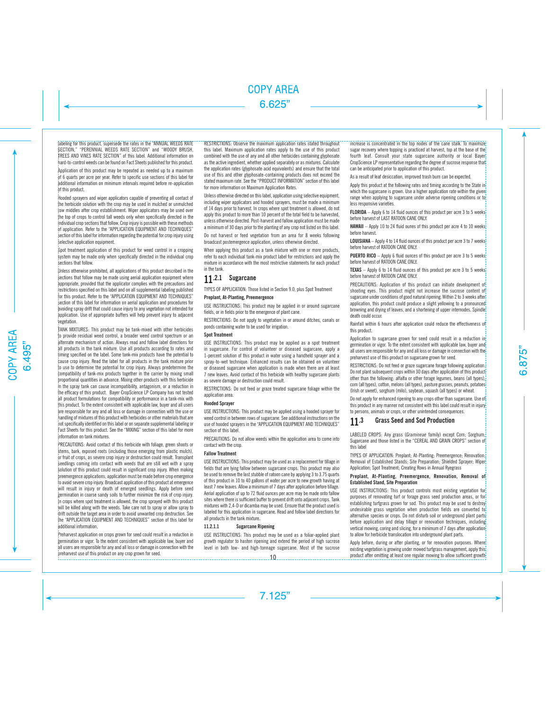labeling for this product, supersede the rates in the "ANNUAL WEEDS RATE SECTION," "PERENNIAL WEEDS RATE SECTION" and "WOODY BRUSH, TREES AND VINES RATE SECTION" of this label. Additional information on hard-to-control weeds can be found on Fact Sheets published for this product.

Application of this product may be repeated as needed up to a maximum of 6 quarts per acre per year. Refer to specific use sections of this label for additional information on minimum intervals required before re-application of this product.

Hooded sprayers and wiper applicators capable of preventing all contact of the herbicide solution with the crop may be used in mulched or unmulched row middles after crop establishment. Wiper applicators may be used over the top of crops to control tall weeds only when specifically directed in the individual crop sections that follow. Crop injury is possible with these methods of application. Refer to the "APPLICATION EQUIPMENT AND TECHNIQUES" section of this label for information regarding the potential for crop injury using selective application equipment.

Spot treatment application of this product for weed control in a cropping system may be made only when specifically directed in the individual crop sections that follow.

Unless otherwise prohibited, all applications of this product described in the sections that follow may be made using aerial application equipment where appropriate, provided that the applicator complies with the precautions and restrictions specified on this label and on all supplemental labeling published for this product. Refer to the "APPLICATION EQUIPMENT AND TECHNIQUES" section of this label for information on aerial application and procedures for avoiding spray drift that could cause injury to any vegetation not intended for application. Use of appropriate buffers will help prevent injury to adjacent vegetation.

TANK MIXTURES: This product may be tank-mixed with other herbicides to provide residual weed control, a broader weed control spectrum or an alternate mechanism of action. Always read and follow label directions for all products in the tank mixture. Use all products according to rates and timing specified on the label. Some tank-mix products have the potential to cause crop injury. Read the label for all products in the tank mixture prior to use to determine the potential for crop injury. Always predetermine the compatibility of tank-mix products together in the carrier by mixing small proportional quantities in advance. Mixing other products with this herbicide in the spray tank can cause incompatibility, antagonism, or a reduction in the efficacy of this product. Bayer CropScience LP Company has not tested all product formulations for compatibility or performance in a tank-mix with this product. To the extent consistent with applicable law, buyer and all users are responsible for any and all loss or damage in connection with the use or handling of mixtures of this product with herbicides or other materials that are not specifically identified on this label or on separate supplemental labeling or Fact Sheets for this product. See the "MIXING" section of this label for more information on tank mixtures.

PRECAUTIONS: Avoid contact of this herbicide with foliage, green shoots or stems, bark, exposed roots (including those emerging from plastic mulch), or fruit of crops, as severe crop injury or destruction could result. Transplant seedlings coming into contact with weeds that are still wet with a spray solution of this product could result in significant crop injury. When making preemergence applications, application must be made before crop emergence to avoid severe crop injury. Broadcast application of this product at emergence will result in injury or death of emerged seedlings. Apply before seed germination in coarse sandy soils to further minimize the risk of crop injury. In crops where spot treatment is allowed, the crop sprayed with this product will be killed along with the weeds. Take care not to spray or allow spray to drift outside the target area in order to avoid unwanted crop destruction. See the "APPLICATION EQUIPMENT AND TECHNIQUES" section of this label for additional information.

Preharvest application on crops grown for seed could result in a reduction in germination or vigor. To the extent consistent with applicable law, buyer and all users are responsible for any and all loss or damage in connection with the preharvest use of this product on any crop grown for seed.

RESTRICTIONS: Observe the maximum application rates stated throughout this label. Maximum application rates apply to the use of this product combined with the use of any and all other herbicides containing glyphosate as the active ingredient, whether applied separately or as mixtures. Calculate the application rates (glyphosate acid equivalents) and ensure that the total use of this and other glyphosate-containing products does not exceed the stated maximum rate. See the "PRODUCT INFORMATION" section of this label for more information on Maximum Application Rates.

Unless otherwise directed on this label, application using selective equipment, including wiper applicators and hooded sprayers, must be made a minimum of 14 days prior to harvest. In crops where spot treatment is allowed, do not apply this product to more than 10 percent of the total field to be harvested. unless otherwise directed. Post-harvest and fallow application must be made a minimum of 30 days prior to the planting of any crop not listed on this label.

Do not harvest or feed vegetation from an area for 8 weeks following broadcast postemergence application, unless otherwise directed.

When applying this product as a tank mixture with one or more products, refer to each individual tank-mix product label for restrictions and apply the mixture in accordance with the most restrictive statements for each product in the tank.

## 11.2.1 Sugarcane

TYPES OF APPLICATION: Those listed in Section 9.0, plus Spot Treatment

### **Preplant, At-Planting, Preemergence**

USE INSTRUCTIONS: This product may be applied in or around sugarcane fields, or in fields prior to the emergence of plant cane.

RESTRICTIONS: Do not apply to vegetation in or around ditches, canals or ponds containing water to be used for irrigation.

## **Spot Treatment**

USE INSTRUCTIONS: This product may be applied as a spot treatment in sugarcane. For control of volunteer or diseased sugarcane, apply a 1-percent solution of this product in water using a handheld sprayer and a spray-to-wet technique. Enhanced results can be obtained on volunteer or diseased sugarcane when application is made when there are at least 7 new leaves. Avoid contact of this herbicide with healthy sugarcane plants as severe damage or destruction could result.

RESTRICTIONS: Do not feed or graze treated sugarcane foliage within the application area.

#### **Hooded Sprayer**

USE INSTRUCTIONS: This product may be applied using a hooded sprayer for weed control in between rows of sugarcane. See additional instructions on the use of hooded sprayers in the "APPLICATION EQUIPMENT AND TECHNIQUES" section of this label.

PRECAUTIONS: Do not allow weeds within the application area to come into contact with the crop.

#### **Fallow Treatment**

USE INSTRUCTIONS: This product may be used as a replacement for tillage in fields that are lying fallow between sugarcane crops. This product may also be used to remove the last stubble of ratoon cane by applying 3 to 3.75 quarts of this product in 10 to 40 gallons of water per acre to new growth having at least 7 new leaves. Allow a minimum of 7 days after application before tillage. Aerial application of up to 72 fluid ounces per acre may be made onto fallow sites where there is sufficient buffer to prevent drift onto adjacent crops. Tank mixtures with 2,4-D or dicamba may be used. Ensure that the product used is labeled for this application in sugarcane. Read and follow label directions for all products in the tank mixture.

## **11.2.1.1 Sugarcane Ripening**

-----------------------------

USE INSTRUCTIONS: This product may be used as a foliar-applied plant growth regulator to hasten ripening and extend the period of high sucrose level in both low- and high-tonnage sugarcane. Most of the sucrose increase is concentrated in the top nodes of the cane stalk. To maximize

sugar recovery where topping is practiced at harvest, top at the base of the fourth leaf. Consult your state sugarcane authority or local Bayer CropScience LP representative regarding the degree of sucrose response that can be anticipated prior to application of this product.

As a result of leaf desiccation, improved trash burn can be expected.

Apply this product at the following rates and timing according to the State in which the sugarcane is grown. Use a higher application rate within the given range when applying to sugarcane under adverse ripening conditions or to less responsive varieties.

**FLORIDA** – Apply 6 to 14 fluid ounces of this product per acre 3 to 5 weeks before harvest of LAST RATOON CANE ONLY.

**HAWAII** – Apply 10 to 24 fluid ounes of this product per acre 4 to 10 weeks<sup>!</sup> before harvest.

**LOUISIANA** – Apply 4 to 14 fluid ounces of this product per acre 3 to 7 weeks before harvest of RATOON CANE ONLY.

**PUERTO RICO** – Apply 6 fluid ounces of this product per acre 3 to 5 weeks<sup>!</sup> before harvest of RATOON CANE ONLY.

**TEXAS** – Apply 6 to 14 fluid ounces of this product per acre 3 to 5 weeks<sup>1</sup> before harvest of RATOON CANE ONLY.

PRECAUTIONS: Application of this product can initiate development of shooting eyes. This product might not increase the sucrose content of sugarcane under conditions of good natural ripening. Within 2 to 3 weeks after application, this product could produce a slight vellowing to a pronounced browning and drying of leaves, and a shortening of upper internodes. Spindle death could occur.

Rainfall within 6 hours after application could reduce the effectiveness of this product.

Application to sugarcane grown for seed could result in a reduction in germination or vigor. To the extent consistent with applicable law, buyer and all users are responsible for any and all loss or damage in connection with the preharvest use of this product on sugarcane grown for seed.

RESTRICTIONS: Do not feed or graze sugarcane forage following application. Do not plant subsequent crops within 30 days after application of this product other than the following: alfalfa or other forage legumes, beans (all types), corn (all types), cotton, melons (all types), pasture grasses, peanuts, potatoes (Irish or sweet), sorghum (milo), soybean, squash (all types) or wheat.

Do not apply for enhanced ripening to any crops other than sugarcane. Use of this product in any manner not consistent with this label could result in injury to persons, animals or crops, or other unintended consequences.

## 11.3 Grass Seed and Sod Production

LABELED CROPS: Any grass (*Gramineae* family) except Corn; Sorghum; Sugarcane and those listed in the "CEREAL AND GRAIN CROPS" section of this label

TYPES OF APPLICATION: Preplant; At-Planting; Preemergence; Renovation; Removal of Established Stands; Site Preparation; Shielded Sprayer; Wiper Application; Spot Treatment; Creating Rows in Annual Ryegrass

#### Preplant, At-Planting, Preemergence, Renovation, Removal of Established Stand, Site Preparation

USE INSTRUCTIONS: This product controls most existing vegetation for purposes of renovating turf or forage grass seed production areas, or for establishing turfgrass grown for sod. This product may be used to destroy undesirable grass vegetation when production fields are converted to alternative species or crops. Do not disturb soil or underground plant parts before application and delay tillage or renovation techniques, including vertical mowing, coring and slicing, for a minimum of 7 days after application to allow for herbicide translocation into underground plant parts.

Apply before, during or after planting, or for renovation purposes. Where existing vegetation is growing under mowed turfgrass management, apply this product after omitting at least one regular mowing to allow sufficient growth  $10$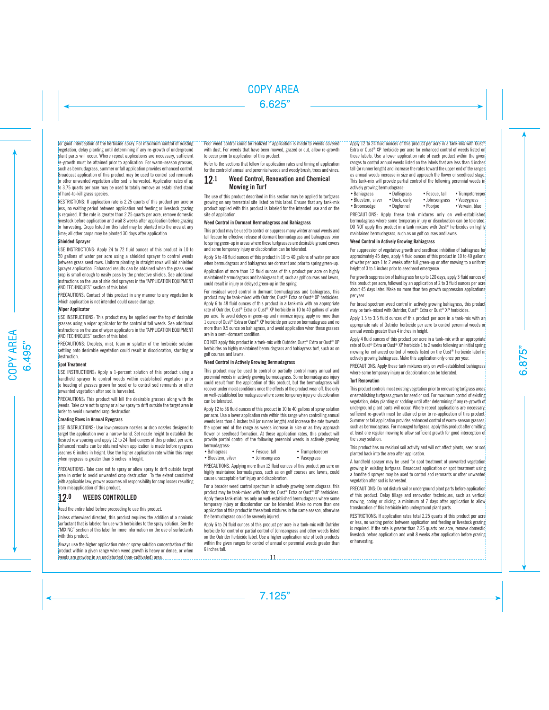for good interception of the herbicide spray. For maximum control of existing vegetation, delay planting until determining if any re-growth of underground plant parts will occur. Where repeat applications are necessary, sufficient re-growth must be attained prior to application. For warm-season grasses, such as bermudagrass, summer or fall application provides enhanced control. Broadcast application of this product may be used to control sod remnants or other unwanted vegetation after sod is harvested. Application rates of up to 3.75 quarts per acre may be used to totally remove an established stand of hard-to-kill grass species.

RESTRICTIONS: If application rate is 2.25 quarts of this product per acre or less, no waiting period between application and feeding or livestock grazing is required. If the rate is greater than 2.25 quarts per acre, remove domestic livestock before application and wait 8 weeks after application before grazing or harvesting. Crops listed on this label may be planted into the area at any time: all other crops may be planted 30 days after application.

### **Shielded Sprayer**

USE INSTRUCTIONS: Apply 24 to 72 fluid ounces of this product in 10 to 20 gallons of water per acre using a shielded sprayer to control weeds between grass seed rows. Uniform planting in straight rows will aid shielded sprayer application. Enhanced results can be obtained when the grass seed crop is small enough to easily pass by the protective shields. See additional instructions on the use of shielded sprayers in the "APPLICATION EQUIPMENT AND TECHNIQUES" section of this label.

PRECAUTIONS: Contact of this product in any manner to any vegetation to which application is not intended could cause damage.

#### **Wiper Applicator**

USE INSTRUCTIONS: This product may be applied over the top of desirable grasses using a wiper applicator for the control of tall weeds. See additional instructions on the use of wiper applicators in the "APPLICATION EQUIPMENT AND TECHNIQUES" section of this label.

PRECAUTIONS: Droplets, mist, foam or splatter of the herbicide solution settling onto desirable vegetation could result in discoloration, stunting or destruction.

#### **Spot Treatment**

USE INSTRUCTIONS: Apply a 1-percent solution of this product using a handheld sprayer to control weeds within established vegetation prior to heading of grasses grown for seed or to control sod remnants or other unwanted vegetation after sod is harvested.

PRECAUTIONS: This product will kill the desirable grasses along with the weeds. Take care not to spray or allow spray to drift outside the target area in order to avoid unwanted crop destruction.

#### **Creating Rows in Annual Ryegrass**

USE INSTRUCTIONS: Use low-pressure nozzles or drop nozzles designed to target the application over a narrow band. Set nozzle height to establish the desired row spacing and apply 12 to 24 fluid ounces of this product per acre. Enhanced results can be obtained when application is made before ryegrass reaches 6 inches in height. Use the higher application rate within this range when ryegrass is greater than 6 inches in height.

PRECAUTIONS: Take care not to spray or allow spray to drift outside target area in order to avoid unwanted crop destruction. To the extent consistent with applicable law, grower assumes all responsibility for crop losses resulting from misapplication of this product.

## 12.0 WEEDS CONTROLLED

Read the entire label before proceeding to use this product.

Unless otherwised directed, this product requires the addition of a nonionic surfactant that is labeled for use with herbicides to the spray solution. See the "MIXING" section of this label for more information on the use of surfactants with this product.

Always use the higher application rate or spray solution concentration of this product within a given range when weed growth is heavy or dense, or when weeds are growing in an undisturbed (non-cultivated) area.

Poor weed control could be realized if application is made to weeds covered with dust. For weeds that have been mowed, grazed or cut, allow re-growth to occur prior to application of this product.

Refer to the sections that follow for application rates and timing of application for the control of annual and perennial weeds and woody brush, trees and vines.

## 12.1 Weed Control, Renovation and Chemical Mowing in Turf

The use of this product described in this section may be applied to turfgrass growing on any terrestrial site listed on this label. Ensure that any tank-mix product applied with this product is labeled for the intended use and on the site of application.

## **Weed Control in Dormant Bermudagrass and Bahiagrass**

This product may be used to control or suppress many winter annual weeds and tall fescue for effective release of dormant bermudagrass and bahiagrass prior to spring green-up in areas where these turfgrasses are desirable ground covers and some temporary injury or discoloration can be tolerated.

Apply 6 to 48 fluid ounces of this product in 10 to 40 gallons of water per acre when bermudagrass and bahiagrass are dormant and prior to spring green-up.

Application of more than 12 fluid ounces of this product per acre on highly maintained bermudagrass and bahiagrass turf, such as golf courses and lawns, could result in injury or delayed green-up in the spring.

For residual weed control in dormant bermudagrass and bahiagrass, this product may be tank-mixed with Outrider, Oust® Extra or Oust® XP herbicides. Apply 6 to 48 fluid ounces of this product in a tank-mix with an appropriate rate of Outrider, Oust® Extra or Oust® XP herbicide in 10 to 40 gallons of water per acre. To avoid delays in green-up and minimize injury, apply no more than 1 ounce of Oust® Extra or Oust® XP herbicide per acre on bermudagrass and no more than 0.5 ounce on bahiagrass, and avoid application when these grasses are in a semi-dormant condition.

DO NOT apply this product in a tank-mix with Outrider, Oust® Extra or Oust® XP herbicides on highly maintained bermudagrass and bahiagrass turf, such as on golf courses and lawns.

#### **Weed Control in Actively Growing Bermudagrass**

This product may be used to control or partially control many annual and perennial weeds in actively growing bermudagrass. Some bermudagrass injury could result from the application of this product, but the bermudagrass will recover under moist conditions once the effects of the product wear off. Use only on well-established bermudagrass where some temporary injury or discoloration can be tolerated.

Apply 12 to 36 fluid ounces of this product in 10 to 40 gallons of spray solution per acre. Use a lower application rate within this range when controlling annual weeds less than 4 inches tall (or runner length) and increase the rate towards the upper end of the range as weeds increase in size or as they approach flower or seedhead formation. At these application rates, this product will provide partial control of the following perennial weeds in actively growing bermudagrass:<br>• Bahiagrass

- Fescue, tall Trumpetcreeper
- Bluestem, silver Johnsongrass Vaseygrass
- 

PRECAUTIONS: Applying more than 12 fluid ounces of this product per acre on highly maintained bermudagrass, such as on golf courses and lawns, could cause unacceptable turf injury and discoloration.

For a broader weed control spectrum in actively growing bermudagrass, this product may be tank-mixed with Outrider, Oust® Extra or Oust® XP herbicides. Apply these tank-mixtures only on well-established bermudagrass where some temporary injury or discoloration can be tolerated. Make no more than one application of this product in these tank mixtures in the same season, otherwise the bermudagrass could be severely injured.

Apply 6 to 24 fluid ounces of this product per acre in a tank-mix with Outrider herbicide for control or partial control of Johnsongrass and other weeds listed on the Outrider herbicide label. Use a higher application rate of both products within the given ranges for control of annual or perennial weeds greater than 6 inches tall.

### Apply 12 to 24 fluid ounces of this product per acre in a tank-mix with Oust®

Extra or Oust<sup>®</sup> XP herbicide per acre for enhanced control of weeds listed on those labels. Use a lower application rate of each product within the given ranges to control annual weeds listed on the labels that are less than 4 inches tall (or runner length) and increase the rates toward the upper end of the ranges as annual weeds increase in size and approach the flower or seedhead stage. This tank-mix will provide partial control of the following perennial weeds in actively growing bermudagrass:

| • Bahiagrass       | • Dallisgrass | • Fescue, tall | • Trumpetcreeper |
|--------------------|---------------|----------------|------------------|
| • Bluestem, silver | • Dock, curly | • Johnsongrass | • Vaseygrass     |
| • Broomsedge       | • Dogfennel   | • Poorjoe      | • Vervain, blue  |

PRECAUTIONS: Apply these tank mixtures only on well-established bermudagrass where some temporary injury or discoloration can be tolerated. DO NOT apply this product in a tank mixture with Oust<sup>®</sup> herbicides on highly maintained bermudagrass, such as on golf courses and lawns.

#### **Weed Control in Actively Growing Bahiagrass**

For suppression of vegetative growth and seedhead inhibition of bahiagrass for approximately 45 days, apply 4 fluid ounces of this product in 10 to 40 gallons of water per acre 1 to 2 weeks after full green-up or after mowing to a uniform height of 3 to 4 inches prior to seedhead emergence.

For growth suppression of bahiagrass for up to 120 days, apply 3 fluid ounces of this product per acre, followed by an application of 2 to 3 fluid ounces per acre about 45 days later. Make no more than two growth suppression applications per year.

For broad spectrum weed control in actively growing bahiagrass, this product may be tank-mixed with Outrider, Oust® Extra or Oust® XP herbicides.

Apply 1.5 to 3.5 fluid ounces of this product per acre in a tank-mix with an appropriate rate of Outrider herbicide per acre to control perennial weeds or annual weeds greater than 4 inches in height.

Apply 4 fluid ounces of this product per acre in a tank-mix with an appropriate rate of Oust<sup>®</sup> Extra or Oust<sup>®</sup> XP herbicide 1 to 2 weeks following an initial spring mowing for enhanced control of weeds listed on the Oust® herbicide label in actively growing bahiagrass. Make this application only once per year.

PRECAUTIONS: Apply these tank mixtures only on well-established bahiagrass where some temporary injury or discoloration can be tolerated.

#### **Turf Renovation**

This product controls most existing vegetation prior to renovating turfgrass areas or establishing turfgrass grown for seed or sod. For maximum control of existing vegetation, delay planting or sodding until after determining if any re-growth of underground plant parts will occur. Where repeat applications are necessary, sufficient re-growth must be attained prior to re-application of this product. Summer or fall application provides enhanced control of warm-season grasses, such as bermudagrass. For managed turfgrass, apply this product after omitting at least one regular mowing to allow sufficient growth for good interception of the spray solution.

This product has no residual soil activity and will not affect plants, seed or sod planted back into the area after application.

A handheld sprayer may be used for spot treatment of unwanted vegetation growing in existing turfgrass. Broadcast application or spot treatment using a handheld sprayer may be used to control sod remnants or other unwanted vegetation after sod is harvested.

PRECAUTIONS: Do not disturb soil or underground plant parts before application of this product. Delay tillage and renovation techniques, such as vertical mowing, coring or slicing, a minimum of 7 days after application to allow translocation of this herbicide into underground plant parts.

RESTRICTIONS: If application rates total 2.25 quarts of this product per acre or less, no waiting period between application and feeding or livestock grazing is required. If the rate is greater than 2.25 quarts per acre, remove domestic livestock before application and wait 8 weeks after application before grazing or harvesting.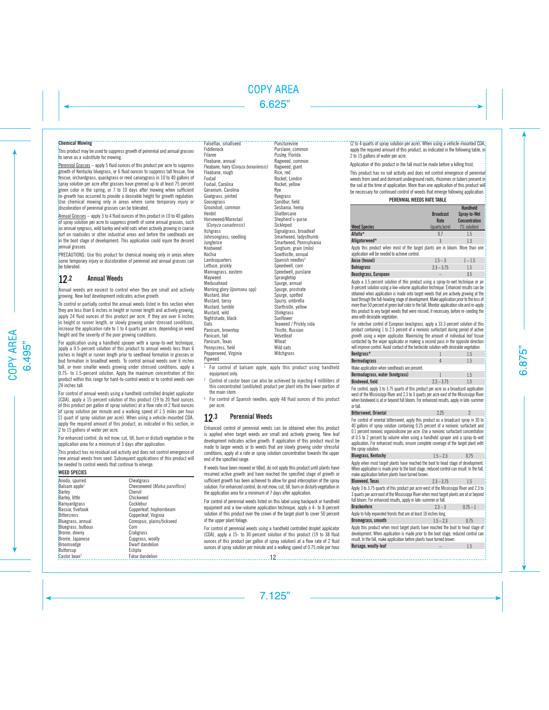#### **Chemical Mowing**

This product may be used to suppress growth of perennial and annual grasses to serve as a substitute for mowing.

Perennial Grasses – apply 5 fluid ounces of this product per acre to suppress growth of Kentucky bluegrass, or 6 fluid ounces to suppress tall fescue, fine fescue, orchardgrass, quackgrass or reed canarygrass in 10 to 40 gallons of spray solution per acre after grasses have greened up to at least 75 percent green color in the spring, or 7 to 10 days after mowing when sufficient re-growth has occurred to provide a desirable height for growth regulation. Use chemical mowing only in areas where some temporary injury or discoloration of perennial grasses can be tolerated.

Annual Grasses – apply 3 to 4 fluid ounces of this product in 10 to 40 gallons of spray solution per acre to suppress growth of some annual grasses, such as annual ryegrass, wild barley and wild oats when actively growing in coarse turf on roadsides or other industrial areas and before the seedheads are in the boot stage of development. This application could injure the desired annual grasses.

PRECAUTIONS: Use this product for chemical mowing only in areas where some temporary injury or discoloration of perennial and annual grasses can be tolerated.

## 12.2 Annual Weeds

Annual weeds are easiest to control when they are small and actively growing. New leaf development indicates active growth.

To control or partially control the annual weeds listed in this section when they are less than 6 inches in height or runner length and actively growing, apply 24 fluid ounces of this product per acre. If they are over 6 inches in height or runner length, or slowly growing under stressed conditions, increase the application rate to 1 to 4 quarts per acre, depending on weed height and the severity of the poor growing conditions.

For application using a handheld sprayer with a spray-to-wet technique, apply a 0.5-percent solution of this product to annual weeds less than 6 inches in height or runner length prior to seedhead formation in grasses or bud formation in broadleaf weeds. To control annual weeds over 6 inches tall, or even smaller weeds growing under stressed conditions, apply a 0.75- to 1.5-percent solution. Apply the maximum concentration of this product within this range for hard-to-control weeds or to control weeds over 24 inches tall.

For control of annual weeds using a handheld controlled droplet applicator (CDA), apply a 15-percent solution of this product (19 to 20 fluid ounces of this product per gallon of spray solution) at a flow rate of 2 fluid ounces of spray solution per minute and a walking speed of 1.5 miles per hour (1 quart of spray solution per acre). When using a vehicle-mounted CDA, apply the required amount of this product, as indicated in this section, in 2 to 15 gallons of water per acre.

For enhanced control, do not mow, cut, till, burn or disturb vegetation in the application area for a minimum of 3 days after application.

This product has no residual soil activity and does not control emergence of new annual weeds from seed. Subsequent applications of this product will be needed to control weeds that continue to emerge.

#### **WEED SPECIES**

| 'Anoda, spurred                   | Cheatgrass                    |
|-----------------------------------|-------------------------------|
| Balsam apple <sup>1</sup>         | Cheeseweed (Malva parviflora) |
| Barley                            | Chervil                       |
| Barley, little                    | Chickweed                     |
| Barnyardgrass                     | Cocklebur                     |
| Bassia, fivehook                  | Copperleaf, hophornbeam       |
| <b>Bittercress</b>                | Copperleaf, Virginia          |
| Bluegrass, annual                 | Coreopsis, plains/tickseed    |
| Bluegrass, bulbous                | Corn                          |
| Brome, downy                      | Crabgrass                     |
| Brome, Japanese                   | Cupgrass, woolly              |
| Broomsedge                        | Dwarf dandelion               |
| Buttercup                         | Eclipta                       |
| $\text{Castor}$ bean <sup>2</sup> | <b>False dandelion</b>        |

#### Falseflax, smallseed

Puncturevine

Fiddleneck Filaree Fleabane, annual Fleabane, hairy (*Conyza bonariensis*) Fleabane, rough Foxtail Foxtail, Carolina Geranium, Carolina Goatgrass, jointed Goosegrass Groundsel, common Henbit Horseweed/Marestail (*Conyza canadensis*) Itchgrass Johnsongrass, seedling Junglerice Knotweed Kochia **Lambsquarters** Lettuce, prickly Mannagrass, eastern Mayweed Medusahead Morning glory (*Ipomoea* spp) Mustard, blue Mustard, tansy Mustard, tumble Mustard, wild Nightshade, black Oats Panicum, browntop Panicum, fall Panicum, Texas Pennycress, field Pepperweed, Virginia Pigweed Purslane, common Pusley, Florida Ragweed, common Ragweed, giant Rice, red Rocket, London Rocket, yellow Rye Ryegrass Sandbur, field Sesbania, hemp **Shattercane** Shepherd's-purse Sicklepod Signalgrass, broadleaf Smartweed, ladysthumb Smartweed, Pennsylvania Sorghum, grain (milo) Sowthistle, annual Spanish needles3 Speedwell, corn Speedwell, purslane Sprangletop Spurge, annual Spurge, prostrate Spurge, spotted Spurry, umbrella Starthistle, yellow **Stinkgrass** Sunflower Teaweed / Prickly sida Thistle, Russian Velvetleaf Wheat Wild oats **Witchgrass** 

<sup>1</sup> For control of balsam apple, apply this product using handheld equipment only.

<sup>2</sup> Control of castor bean can also be achieved by injecting 4 milliliters of this concentrated (undiluted) product per plant into the lower portion of the main stem.

<sup>3</sup> For control of Spanish needles, apply 48 fluid ounces of this product per acre.

## 12.3 Perennial Weeds

Enhanced control of perennial weeds can be obtained when this product is applied when target weeds are small and actively growing. New leaf development indicates active growth. If application of this product must be made to larger weeds or to weeds that are slowly growing under stressful conditions, apply at a rate or spray solution concentration towards the upper end of the specified range.

If weeds have been mowed or tilled, do not apply this product until plants have resumed active growth and have reached the specified stage of growth or sufficient growth has been achieved to allow for good interception of the spray solution. For enhanced control, do not mow, cut, till, burn or disturb vegetation in the application area for a minimum of 7 days after application.

For control of perennial weeds listed on this label using backpack or handheld equipment and a low-volume application technique, apply a 4- to 8-percent solution of this product over the crown of the target plant to cover 50 percent of the upper plant foliage.

For control of perennial weeds using a handheld controlled droplet applicator (CDA), apply a 15- to 30-percent solution of this product (19 to 38 fluid ounces of this product per gallon of spray solution) at a flow rate of 2 fluid ounces of spray solution per minute and a walking speed of 0.75 mile per hour

### (2 to 4 quarts of spray solution per acre). When using a vehicle-mounted CDA,

apply the required amount of this product, as indicated in the following table, in 2 to 15 gallons of water per acre.

Application of this product in the fall must be made before a killing frost.

This product has no soil activity and does not control emergence of perennial weeds from seed and dormant underground roots, rhizomes or tubers present in the soil at the time of application. More than one application of this product will be necessary for continued control of weeds that emerge following application.

### **PERENNIAL WEEDS RATE TABLE**

|                                                                                                                                 | <b>Broadcast</b><br>Rate | <b>Handheld</b><br>Spray-to-Wet<br><b>Concentration</b> |
|---------------------------------------------------------------------------------------------------------------------------------|--------------------------|---------------------------------------------------------|
| <b>Weed Species</b>                                                                                                             | (quarts/acre)            | (% solution)                                            |
| Alfalfa*                                                                                                                        | 0.7                      | 1.5                                                     |
| Alligatorweed*                                                                                                                  | 3                        | 1.3                                                     |
| Apply this product when most of the target plants are in bloom. More than one<br>application will be needed to achieve control. |                          |                                                         |
| Anise (fennel)                                                                                                                  | $1.5 - 3$                | $1 - 1.5$                                               |
|                                                                                                                                 |                          |                                                         |

| $2.3 - 3.75$ |     |
|--------------|-----|
|              | 3.5 |
|              |     |

Apply a 3.5-percent solution of this product using a spray-to-wet technique or an 8-percent solution using a low-volume application technique. Enhanced results can be obtained when application is made onto target weeds that are actively growing at the boot through the full-heading stage of development. Make application prior to the loss of more than 50 percent of green leaf color in the fall. Monitor application site and re-apply this product to any target weeds that were missed, if necessary, before re-seeding the area with desirable vegetation.

For selective control of European beachgrass, apply a 33.3-percent solution of this product containing 1 to 2.5 percent of a nonionic surfactant during period of active growth using a wiper applicator. Maximizing the amount of individual leaf tissue contacted by the wiper applicator or making a second pass in the opposite direction will improve control. Avoid contact of the herbicide solution with desirable vegetation.

| Bentgrass*                                   |              | 1.5 |
|----------------------------------------------|--------------|-----|
| <b>Bermudagrass</b>                          |              | 1.5 |
| Make application when seedheads are present. |              |     |
| Bermudagrass, water (knotgrass)              |              | 1.5 |
| Bindweed, field                              | $2.3 - 3.75$ | 1.5 |

For control, apply 3 to 3.75 quarts of this product per acre as a broadcast application west of the Mississippi River and 2.3 to 3 quarts per acre east of the Mississippi River when bindweed is at or beyond full bloom. For enhanced results, apply in late-summer or fall.

| <b>Bittersweet, Oriental</b>                                                                                                                                                                                                                                                                                                                                                                                                                                         | 225          | 2          |
|----------------------------------------------------------------------------------------------------------------------------------------------------------------------------------------------------------------------------------------------------------------------------------------------------------------------------------------------------------------------------------------------------------------------------------------------------------------------|--------------|------------|
| For control of oriental bittersweet, apply this product as a broadcast spray in 30 to<br>40 gallons of spray solution containing 0.25 percent of a nonionic surfactant and<br>0.1 percent nonionic organosilicone per acre. Use a nonionic surfactant concentration<br>of 0.5 to 2 percent by volume when using a handheld sprayer and a spray-to-wet<br>application. For enhanced results, ensure complete coverage of the target plant with<br>the sprav solution. |              |            |
| <b>Bluegrass, Kentucky</b>                                                                                                                                                                                                                                                                                                                                                                                                                                           | $1.5 - 2.3$  | 0.75       |
| Apply when most target plants have reached the boot to head stage of development.<br>When application is made prior to the boot stage, reduced control can result. In the fall,<br>make application before plants have turned brown.                                                                                                                                                                                                                                 |              |            |
| <b>Blueweed. Texas</b>                                                                                                                                                                                                                                                                                                                                                                                                                                               | $2.3 - 3.75$ | 1.5        |
| Apply 3 to 3.75 quarts of this product per acre west of the Mississippi River and 2.3 to<br>3 quarts per acre east of the Mississippi River when most target plants are at or beyond<br>full bloom. For enhanced results, apply in late-summer or fall.                                                                                                                                                                                                              |              |            |
| <b>Brackenfern</b>                                                                                                                                                                                                                                                                                                                                                                                                                                                   | $23 - 3$     | $0.75 - 1$ |
| Apply to fully expanded fronds that are at least 18 inches long.                                                                                                                                                                                                                                                                                                                                                                                                     |              |            |
| Bromegrass, smooth                                                                                                                                                                                                                                                                                                                                                                                                                                                   | $1.5 - 2.3$  | 0.75       |
| Apply this product when most target plants have reached the boot to head stage of<br>development. When application is made prior to the boot stage, reduced control can<br>result. In the fall, make application before plants have turned brown.                                                                                                                                                                                                                    |              |            |
| Bursage, woolly-leaf                                                                                                                                                                                                                                                                                                                                                                                                                                                 |              | 1.5        |
|                                                                                                                                                                                                                                                                                                                                                                                                                                                                      |              |            |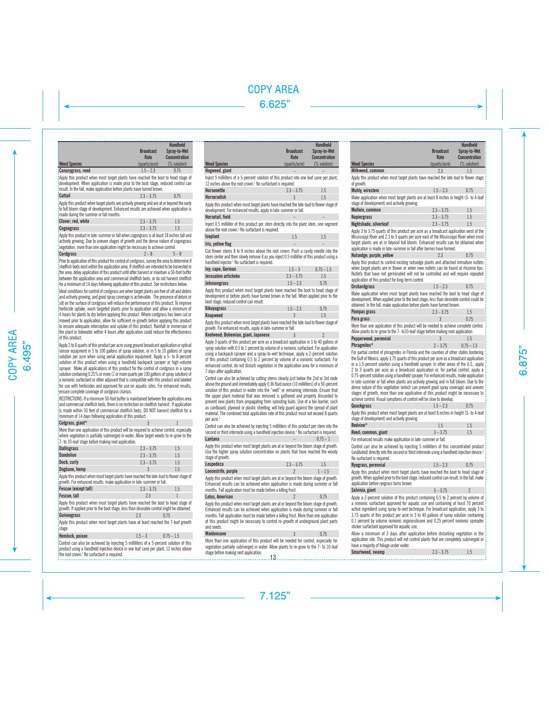|                          |                  | <b>Handheld</b>      |
|--------------------------|------------------|----------------------|
|                          | <b>Broadcast</b> | Spray-to-Wet         |
|                          | Rate             | <b>Concentration</b> |
| <b>Weed Species</b>      | (quarts/acre)    | (% solution)         |
| <b>Canarygrass, reed</b> | $1.5 - 2.3$      | 0.75                 |

Apply this product when most target plants have reached the boot to head stage of development. When application is made prior to the boot stage, reduced control can result. In the fall, make application before plants have turned brown.

| <b>Cattail</b> |   |   | $2.3 - 3.75$ | 0.75 |
|----------------|---|---|--------------|------|
| $\cdots$       | . | . |              |      |

Apply this product when target plants are actively growing and are at or beyond the early to full bloom stage of development. Enhanced results are achieved when application is made during the summer or fall months.

| Clover; red, white | $2.3 - 3.75$ |  |
|--------------------|--------------|--|
| <b>Cogongrass</b>  | $2.3 - 3.75$ |  |

Apply this product in late-summer or fall when cogongrass is at least 18 inches tall and actively growing. Due to uneven stages of growth and the dense nature of cogongrass vegetation, more than one application might be necessary to achieve control.

**Cordgrass** Prior to application of this product for control of cordgrass, survey the area to determine if shellfish beds exist within the application area. If shellfish are intended to be harvested in the area, delay application of this product until after harvest or maintain a 50-foot buffer between the application area and commercial shellfish beds, or do not harvest shellfish for a minimum of 14 days following application of this product. See restrictions below. Ideal conditions for control of cordgrass are when target plants are free of silt and debris and actively growing, and good spray coverage is achievable. The presence of debris or silt on the surface of cordgrass will reduce the performance of this product. To improve herbicide uptake, wash targeted plants prior to application and allow a minimum of <sup>1</sup>4 hours for plants to dry before applying this product. Where cordgrass has been cut or mowed prior to application, allow for sufficient re-growth before applying this product to ensure adequate interception and uptake of this product. Rainfall or immersion of the plant in tidewater within 4 hours after application could reduce the effectiveness

of this product. Apply 2 to 8 quarts of this product per acre using ground broadcast application or optical sensor equipment in 5 to 100 gallons of spray solution, or in 5 to 10 gallons of spray solution per acre when using aerial application equipment. Apply a 5- to 8-percent solution of this product when using a handheld backpack sprayer or high-volume sprayer. Make all applications of this product for the control of cordgrass in a spray solution containing 0.25% or more (1 or more quarts per 100 gallons of spray solution) of a nonionic surfactant or other adjuvant that is compatible with this product and labeled for use with herbicides and approved for use on aquatic sites. For enhanced results, ensure complete coverage of cordgrass clumps.

RESTRICTIONS: If a minimum 50-foot buffer is maintained between the application area and commercial shellfish beds, there is no restriction on shellfish harvest. If application is made within 50 feet of commercial shellfish beds, DO NOT harvest shellfish for a minimum of 14 days following application of this product.

**Cutgrass, giant\*** 

More than one application of this product will be required to achieve control, especially where vegetation is partially submerged in water. Allow target weeds to re-grow to the 7- to 10-leaf stage before making next application.

| <b>Dallisgrass</b> | $2.3 - 3.75$ | 1.5     |
|--------------------|--------------|---------|
| Dandelion          | $2.3 - 3.75$ | 1.5     |
| Dock. curly        | $2.3 - 3.75$ | $1.5\,$ |
| Dogbane, hemp      |              | 1.5     |

Apply this product when most target plants have reached the late-bud to flower stage of growth. For enhanced results, make application in late-summer or fall.

| Fescue (except tall) | $2.3 - 3.75$ | 1.5 |
|----------------------|--------------|-----|
| Fescue, tall         | 2.3          |     |

Apply this product when most target plants have reached the boot to head stage of erowth. If applied prior to the boot stage, less than desirable control might be obtained. **Guineagrass** 2.3 0.75

Apply this product when most target plants have at least reached the 7-leaf growth stage.

| Hemlock, poison                                                                                                | $1.5 - 3$ | $0.75 - 1.5$ |
|----------------------------------------------------------------------------------------------------------------|-----------|--------------|
| 10. Januar 1996 - Januar 1996, San Januar 1996, San Jawa 1998, San Jawa 1998, San Jawa 1998, San Jawa 1998, Sa |           |              |

Control can also be achieved by injecting 5 milliliters of a 5-percent solution of this product using a handheld injection device in one leaf cane per plant, 12 inches above the root crown. $^1$  No surfactant is required.

|                     |                  | Handheld             |
|---------------------|------------------|----------------------|
|                     | <b>Broadcast</b> | Spray-to-Wet         |
|                     | Rate             | <b>Concentration</b> |
| <b>Weed Species</b> | (quarts/acre)    | (% solution)         |
| Hogweed, giant      |                  |                      |

Inject 5 milliliters of a 5-percent solution of this product into one leaf cane per plant, 12 inches above the root crown.1 No surfactant is required.

| <b>Horsenettle</b> | $2.3 - 3.75$ |  |
|--------------------|--------------|--|
| <b>Horseradish</b> |              |  |
|                    |              |  |

Apply this product when most target plants have reached the late-bud to flower stage of development. For enhanced results, apply in late-summer or fall.

## **Horsetail** field

Inject 0.5 milliliter of this product per stem directly into the plant stem, one segment above the root crown.<sup>1</sup> No surfactant is required.

| <b>Iceplant</b>   | 1.J |  |
|-------------------|-----|--|
| Iris, yellow flag |     |  |

Cut flower stems 8 to 9 inches above the root crown. Push a cavity needle into the stem center and then slowly remove it as you inject 0.5 milliliter of this product using a handheld injector.1 No surfactant is required.

| Ivy; cape, German   | $1.5 - 3$    | $0.75 - 1.5$ |
|---------------------|--------------|--------------|
| Jerusalem artichoke | $2.3 - 3.75$ |              |
| Johnsongrass        | $1.5 - 2.3$  | 0.75         |

Apply this product when most target plants have reached the boot to head stage of development or before plants have turned brown in the fall. When applied prior to the boot stage, reduced control can result.

| Kikuyugrass | $1.5 - 2.3$ | 0.75 |
|-------------|-------------|------|
| Knapweed    |             | 1.5  |

Apply this product when most target plants have reached the late-bud to flower stage of growth. For enhanced results, apply in late-summer or fall.

## **Knotweed; Bohemian, giant, Japanese**

Apply 3 quarts of this product per acre as a broadcast application in 3 to 40 gallons of spray solution with 0.5 to 1 percent by volume of a nonionic surfactant. For application using a backpack sprayer and a spray-to-wet technique, apply a 2-percent solution of this product containing 0.5 to 2 percent by volume of a nonionic surfactant. For enhanced control, do not disturb vegetation in the application area for a minimum of 7 days after application.

Control can also be achieved by cutting stems cleanly just below the 2nd or 3rd node above the ground and immediately apply 0.36 fluid ounce (10 milliliters) of a 50-percent solution of this product in water into the "well" or remaining internode. Ensure that the upper plant material that was removed is gathered and properly discarded to prevent new plants from propagating from sprouting buds. Use of a bio-barrier, such as cardboard, plywood or plastic sheeting, will help guard against the spread of plant material. The combined total application rate of this product must not exceed 8 quarts per acre.<sup>1</sup>

Control can also be achieved by injecting 5 milliliters of this product per stem into the second or third internode using a handheld injection device.<sup>1</sup> No surfactant is required. **Lantana** – 0.75 – 1

Apply this product when most target plants are at or beyond the bloom stage of growth. Use the higher spray solution concentration on plants that have reached the woody stage of growth.

| Lespedeza           | $2.3 - 3.75$ | 1.5       |
|---------------------|--------------|-----------|
| Loosestrife, purple |              | $1 - 1.5$ |

Apply this product when most target plants are at or beyond the bloom stage of growth. Enhanced results can be achieved when application is made during summer or fall months. Fall application must be made before a killing frost.

## **Lotus, American**

Apply this product when most target plants are at or beyond the bloom stage of growth. Enhanced results can be achieved when application is made during summer or fall months. Fall application must be made before a killing frost. More than one application of this product might be necessary to control re-growth of underground plant parts and seeds.

| Maidencane                                                                           | 0.75 |
|--------------------------------------------------------------------------------------|------|
| More than one application of this product will be needed for control, especially for |      |

vegetation partially submerged in water. Allow plants to re-grow to the 7- to 10-leaf stage before making next application.

| <b>Weed Species</b>                                                                                                                                                                                                                                                                                                                                                                                                                                                                                                                                                                                                                                                                                                                                                                                       | <b>Broadcast</b><br>Rate<br>(quarts/acre) | <b>Handheld</b><br>Spray-to-Wet<br><b>Concentration</b><br>(% solution) |
|-----------------------------------------------------------------------------------------------------------------------------------------------------------------------------------------------------------------------------------------------------------------------------------------------------------------------------------------------------------------------------------------------------------------------------------------------------------------------------------------------------------------------------------------------------------------------------------------------------------------------------------------------------------------------------------------------------------------------------------------------------------------------------------------------------------|-------------------------------------------|-------------------------------------------------------------------------|
| Milkweed, common                                                                                                                                                                                                                                                                                                                                                                                                                                                                                                                                                                                                                                                                                                                                                                                          | 2.3                                       | 1.5                                                                     |
| Apply this product when most target plants have reached the late-bud to flower stage<br>of growth.                                                                                                                                                                                                                                                                                                                                                                                                                                                                                                                                                                                                                                                                                                        |                                           |                                                                         |
| Muhly, wirestem                                                                                                                                                                                                                                                                                                                                                                                                                                                                                                                                                                                                                                                                                                                                                                                           | $1.5 - 2.3$                               | 0.75                                                                    |
| Make application when most target plants are at least 8 inches in height (3- to 4-leaf<br>stage of development) and actively growing.                                                                                                                                                                                                                                                                                                                                                                                                                                                                                                                                                                                                                                                                     |                                           |                                                                         |
| Mullein, common                                                                                                                                                                                                                                                                                                                                                                                                                                                                                                                                                                                                                                                                                                                                                                                           | $2.3 - 3.75$                              | 1.5                                                                     |
| <b>Napiergrass</b>                                                                                                                                                                                                                                                                                                                                                                                                                                                                                                                                                                                                                                                                                                                                                                                        | $2.3 - 3.75$                              | 1.5                                                                     |
| Nightshade, silverleaf                                                                                                                                                                                                                                                                                                                                                                                                                                                                                                                                                                                                                                                                                                                                                                                    | $2.3 - 3.75$                              | 1.5                                                                     |
| Apply 3 to 3.75 quarts of this product per acre as a broadcast application west of the<br>Mississippi River and 2.3 to 3 quarts per acre east of the Mississippi River when most<br>target plants are at or beyond full bloom. Enhanced results can be obtained when<br>application is made in late-summer or fall after berries have formed.                                                                                                                                                                                                                                                                                                                                                                                                                                                             |                                           |                                                                         |
| Nutsedge; purple, yellow                                                                                                                                                                                                                                                                                                                                                                                                                                                                                                                                                                                                                                                                                                                                                                                  | 2.3                                       | 0.75                                                                    |
| Apply this product to control existing nutsedge plants and attached immature nutlets<br>when target plants are in flower or when new nutlets can be found at rhizome tips.<br>Nutlets that have not germinated will not be controlled and will require repeated<br>application of this product for long-term control.                                                                                                                                                                                                                                                                                                                                                                                                                                                                                     |                                           |                                                                         |
| <b>Orchardgrass</b>                                                                                                                                                                                                                                                                                                                                                                                                                                                                                                                                                                                                                                                                                                                                                                                       | $1.5 - 2.3$                               | 0.75                                                                    |
| Make application when most target plants have reached the boot to head stage of<br>development. When applied prior to the boot stage, less than desirable control could be<br>obtained. In the fall, make application before plants have turned brown.                                                                                                                                                                                                                                                                                                                                                                                                                                                                                                                                                    |                                           |                                                                         |
| Pampas grass                                                                                                                                                                                                                                                                                                                                                                                                                                                                                                                                                                                                                                                                                                                                                                                              | $2.3 - 3.75$                              | 1.5                                                                     |
| Para grass                                                                                                                                                                                                                                                                                                                                                                                                                                                                                                                                                                                                                                                                                                                                                                                                | $\overline{3}$                            | 0.75                                                                    |
| More than one application of this product will be needed to achieve complete control.<br>Allow plants to re-grow to the 7- to10-leaf stage before making next application.                                                                                                                                                                                                                                                                                                                                                                                                                                                                                                                                                                                                                                |                                           |                                                                         |
| Pepperweed, perennial                                                                                                                                                                                                                                                                                                                                                                                                                                                                                                                                                                                                                                                                                                                                                                                     | 3                                         | 1.5                                                                     |
| Phragmites*                                                                                                                                                                                                                                                                                                                                                                                                                                                                                                                                                                                                                                                                                                                                                                                               | $2 - 3.75$                                | $0.75 - 1.5$                                                            |
| For partial control of phragmites in Florida and the counties of other states bordering<br>the Gulf of Mexico, apply 3.75 quarts of this product per acre as a broadcast application<br>or a 1.5-percent solution using a handheld sprayer. In other areas of the U.S., apply<br>2 to 3 quarts per acre as a broadcast application or, for partial control, apply a<br>0.75-percent solution using a handheld sprayer. For enhanced results, make application<br>in late-summer or fall when plants are actively growing and in full bloom. Due to the<br>dense nature of this vegetation (which can prevent good spray coverage) and uneven<br>stages of growth, more than one application of this product might be necessary to<br>achieve control. Visual symptoms of control will be slow to develop. |                                           |                                                                         |
| Quackgrass                                                                                                                                                                                                                                                                                                                                                                                                                                                                                                                                                                                                                                                                                                                                                                                                | $1.5 - 2.3$                               | 0.75                                                                    |
| Apply this product when most target plants are at least 8 inches in height (3- to 4-leaf<br>stage of development) and actively growing.                                                                                                                                                                                                                                                                                                                                                                                                                                                                                                                                                                                                                                                                   |                                           |                                                                         |
| Redvine*                                                                                                                                                                                                                                                                                                                                                                                                                                                                                                                                                                                                                                                                                                                                                                                                  | 1.5                                       | 1.5                                                                     |
| Reed; common, giant                                                                                                                                                                                                                                                                                                                                                                                                                                                                                                                                                                                                                                                                                                                                                                                       | $3 - 3.75$                                | 1.5                                                                     |
| For enhanced results make application in late-summer or fall.<br>Control can also be achieved by injecting 5 milliliters of this concentrated product<br>(undiluted) directly into the second or third internode using a handheld injection device. <sup>1</sup><br>No surfactant is required.                                                                                                                                                                                                                                                                                                                                                                                                                                                                                                            |                                           |                                                                         |
| Ryegrass, perennial                                                                                                                                                                                                                                                                                                                                                                                                                                                                                                                                                                                                                                                                                                                                                                                       | $1.5 - 2.3$                               | 0.75                                                                    |
| Apply this product when most target plants have reached the boot to head stage of<br>growth. When applied prior to the boot stage, reduced control can result. In the fall, make<br>application before ryegrass turns brown.                                                                                                                                                                                                                                                                                                                                                                                                                                                                                                                                                                              |                                           |                                                                         |
| Salvinia, giant                                                                                                                                                                                                                                                                                                                                                                                                                                                                                                                                                                                                                                                                                                                                                                                           | $3 - 3.75$                                | 2                                                                       |
| Apply a 2-percent solution of this product containing 0.5 to 2 percent by volume of<br>a nonionic surfactant approved for aquatic use and containing at least 70 percent<br>active ingredient using spray-to-wet technique. For broadcast application, apply 3 to<br>3.75 quarts of this product per acre in 3 to 40 gallons of spray solution containing                                                                                                                                                                                                                                                                                                                                                                                                                                                 |                                           |                                                                         |

3.75 quarts of this product per acre in 3 to 40 gallons of spray solution containing 0.1 percent by volume nonionic organosilicone and 0.25 percent nonionic spreader sticker surfactant approved for aquatic use.

Allow a minimum of 3 days after application before disturbing vegetation in the application site. This product will not control plants that are completely submerged or have a majority of foliage under water.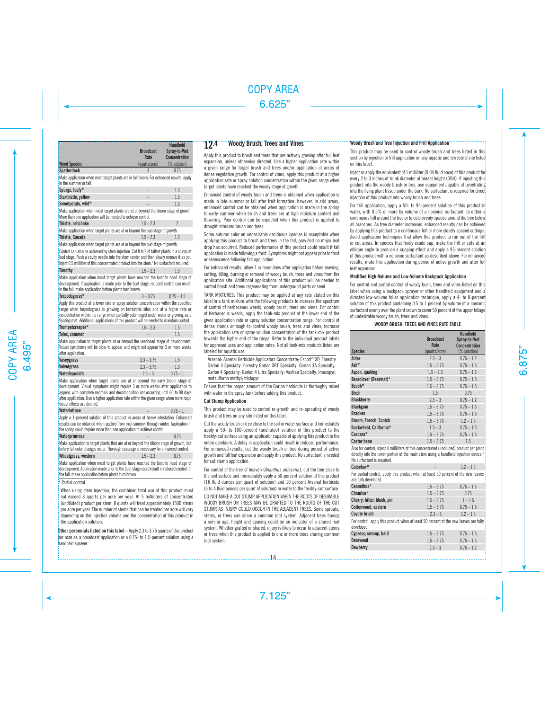|                                                                                                                                                                                                                                                                                                | <b>Broadcast</b><br>Rate | <b>Handheld</b><br>Spray-to-Wet<br><b>Concentration</b> |
|------------------------------------------------------------------------------------------------------------------------------------------------------------------------------------------------------------------------------------------------------------------------------------------------|--------------------------|---------------------------------------------------------|
| <b>Weed Species</b>                                                                                                                                                                                                                                                                            | (quarts/acre)            | (% solution)                                            |
| <b>Spatterdock</b>                                                                                                                                                                                                                                                                             | $\mathcal{R}$            | 0.75                                                    |
| Make application when most target plants are in full bloom. For enhanced results, apply<br>in the summer or fall.                                                                                                                                                                              |                          |                                                         |
| Spurge, leafy*                                                                                                                                                                                                                                                                                 |                          | 1.5                                                     |
| Starthistle, yellow                                                                                                                                                                                                                                                                            |                          | 1.5                                                     |
| Sweetpotato, wild*                                                                                                                                                                                                                                                                             |                          | 1.5                                                     |
| Make application when most target plants are at or beyond the bloom stage of growth.<br>More than one application will be needed to achieve control.                                                                                                                                           |                          |                                                         |
| Thistle, artichoke                                                                                                                                                                                                                                                                             | $1.5 - 2.3$              | $\mathfrak{p}$                                          |
| Make application when target plants are at or beyond the bud stage of growth.                                                                                                                                                                                                                  |                          |                                                         |
| Thistle, Canada                                                                                                                                                                                                                                                                                | $15 - 23$                | 1.5                                                     |
| Make application when target plants are at or beyond the bud stage of growth.                                                                                                                                                                                                                  |                          |                                                         |
| Control can also be achieved by stem-injection. Cut 8 to 9 of tallest plants in a clump at<br>bud stage. Push a cavity needle into the stem center and then slowly remove it as you<br>linject 0.5 milliliter of this concentrated product into the stem. <sup>1</sup> No surfactant required. |                          |                                                         |
| Timothy                                                                                                                                                                                                                                                                                        | $1.5 - 2.3$              | 15                                                      |
| Make application when most target plants have reached the boot to head stage of<br>development. If application is made prior to the boot stage, reduced control can result.<br>In the fall make annlication before plants turn brown                                                           |                          |                                                         |

| Torpedograss*                                                                            | $3 - 3.75$ | $0.75 - 1.5$ |
|------------------------------------------------------------------------------------------|------------|--------------|
| 'Apply this product at a lower rate or spray solution concentration within the specified |            |              |
| irango whan tamadagases is growing an tarractrial sitas and at a higher rate or          |            |              |

range when torpedograss is growing on terrestrial sites and at a higher rate or concentration within the range when partially submerged under water or growing as a floating mat. Additional applications of this product will be needed to maintain control.

| Trumpetcreeper* | $1.5 - 2.3$ |  |
|-----------------|-------------|--|
| Tules, common   |             |  |

Make application to target plants at or beyond the seedhead stage of development. Visual symptoms will be slow to appear and might not appear for 3 or more weeks after application.

| Vaseygrass    | $2.3 - 3.75$ | 1.5        |
|---------------|--------------|------------|
| Velvetgrass   | $2.3 - 3.75$ |            |
| Waterhyacinth | $2.5 - 3$    | $0.75 - 1$ |

Make application when target plants are at or beyond the early bloom stage of development. Visual symptoms might require 3 or more weeks after application to appear, with complete necrosis and decomposition not occurring until 60 to 90 days after application. Use a higher application rate within the given range when more rapid visual effects are desired.

| Waterlettuce                                                                                                                                                                                                                                        | $0.75 - 1$ |
|-----------------------------------------------------------------------------------------------------------------------------------------------------------------------------------------------------------------------------------------------------|------------|
| Apply a 1-percent solution of this product in areas of heavy infestation. Enhanced<br>results can be obtained when applied from mid-summer through winter. Application in<br>the spring could require more than one application to achieve control. |            |
| Waterprimrose                                                                                                                                                                                                                                       | 0.75       |
| Make application to target plants that are at or beyond the bloom stage of growth, but<br>Thefere fell actor aboven a source Thomsonk ancienne is nonconcerted actor and acutual                                                                    |            |

|                     | before fall color changes occur. Thorough coverage is necessary for enhanced control. |      |
|---------------------|---------------------------------------------------------------------------------------|------|
| Wheatgrass, western | $1.5 - 2.3$                                                                           | 0.75 |

Make application when most target plants have reached the boot to head stage of development. Application made prior to the boot stage could result in reduced control. In the fall, make application before plants turn brown.

### \* Partial control

When using stem injection, the combined total use of this product must not exceed 8 quarts per acre per year. At 5 milliliters of concentrated (undiluted) product per stem, 8 quarts will treat approximately 1500 stems per acre per year. The number of stems that can be treated per acre will vary depending on the injection volume and the concentration of this product in the application solution.

**Other perennials listed on this label** – Apply 2.3 to 3.75 quarts of this product per acre as a broadcast application or a 0.75- to 1.5-percent solution using a handheld sprayer.

## 12.4 Woody Brush, Trees and Vines

Apply this product to brush and trees that are actively growing after full leaf expansion, unless otherwise directed. Use a higher application rate within a given range for larger brush and trees and/or application in areas of dense vegetative growth. For control of vines, apply this product at a higher application rate or spray solution concentration within the given range when target plants have reached the woody stage of growth.

Enhanced control of woody brush and trees is obtained when application is made in late-summer or fall after fruit formation; however, in arid areas, enhanced control can be obtained when application is made in the spring to early-summer when brush and trees are at high moisture content and flowering. Poor control can be expected when this product is applied to drought-stressed brush and trees.

Some autumn color on undesirable deciduous species is acceptable when applying this product to brush and trees in the fall, provided no major leaf drop has occurred. Reduced performance of this product could result if fall application is made following a frost. Symptoms might not appear prior to frost or senescence following fall application.

For enhanced results, allow 7 or more days after application before mowing, cutting, tilling, burning or removal of woody brush, trees and vines from the application site. Additional applications of this product will be needed to control brush and trees regenerating from underground parts or seed.

TANK MIXTURES: This product may be applied at any rate stated on this label in a tank mixture with the following products to increase the spectrum of control of herbaceous weeds, woody brush, trees and vines. For control of herbaceous weeds, apply the tank-mix product at the lower end of the given application rate or spray solution concentration range. For control of dense stands or tough-to-control woody brush, trees and vines, increase the application rate or spray solution concentration of the tank-mix product towards the higher end of the range. Refer to the individual product labels for approved uses and application rates. Not all tank-mix products listed are labeled for aquatic use.

Arsenal; Arsenal Herbicide Applicators Concentrate; Escort® XP; Forestry Garlon 4 Specialty; Forestry Garlon XRT Specialty; Garlon 3A Specialty; Garlon 4 Specialty; Garlon 4 Ultra Specialty; Vastlan Specialty; imazapyr; metsulfuron methyl; triclopyr

Ensure that the proper amount of the Garlon herbicide is thoroughly mixed with water in the spray tank before adding this product.

#### **Cut Stump Application**

This product may be used to control re-growth and re-sprouting of woody brush and trees on any site listed on this label.

Cut the woody brush or tree close to the soil or water surface and immediately apply a 50- to 100-percent (undiluted) solution of this product to the freshly-cut surface using an applicator capable of applying this product to the entire cambium. A delay in application could result in reduced performance. For enhanced results, cut the woody brush or tree during period of active growth and full leaf expansion and apply this product. No surfactant is needed for cut stump application.

For control of the tree of heaven (*Ailanthus altissima*), cut the tree close to the soil surface and immediately apply a 50-percent solution of this product (16 fluid ounces per quart of solution) and 10 percent Arsenal herbicide (3 to 4 fluid ounces per quart of solution) in water to the freshly-cut surface. DO NOT MAKE A CUT STUMP APPLICATION WHEN THE ROOTS OF DESIRABLE WOODY BRUSH OR TREES MAY BE GRAFTED TO THE ROOTS OF THE CUT STUMP, AS INJURY COULD OCCUR IN THE ADJACENT TREES. Some sprouts, stems, or trees can share a common root system. Adjacent trees having a similar age, height and spacing could be an indicator of a shared root system. Whether grafted or shared, injury is likely to occur to adjacent stems or trees when this product is applied to one or more trees sharing common root system.

#### **Woody Brush and Tree Injection and Frill Application**

This product may be used to control woody brush and trees listed in this section by injection or frill application on any aquatic and terrestrial site listed on this label.

Inject or apply the equivalent of 1 milliliter (0.04 fluid once) of this product for every 2 to 3 inches of trunk diameter at breast height (DBH). If injecting this product into the woody brush or tree, use equipment capable of penetrating into the living plant tissue under the bark. No surfactant is required for direct injection of this product into woody brush and trees.

For frill application, apply a 50- to 95-percent solution of this product in water, with 0.5% or more by volume of a nonionic surfactant, to either a continuous frill around the tree or to cuts evenly spaced around the tree below all branches. As tree diameter increases, enhanced results can be achieved by applying this product to a continuous frill or more closely spaced cuttings. Avoid application techniques that allow this product to run out of the frill or cut areas. In species that freely exude sap, make the frill or cuts at an oblique angle to produce a cupping effect and apply a 95-percent solution of this product with a nonionic surfactant as described above. For enhanced results, make this application during period of active growth and after full leaf expansion.

### **Modified High-Volume and Low-Volume Backpack Application**

For control and partial control of woody bush, trees and vines listed on this label when using a backpack sprayer or other handheld equipment and a directed low-volume foliar application technique, apply a 4- to 8-percent solution of this product containing 0.5 to 1 percent by volume of a nonionic surfactant evenly over the plant crown to cover 50 percent of the upper foliage. of undesirable woody brush, trees and vines.

#### **WOODY BRUSH, TREES AND VINES RATE TABLE**

|                              | <b>Broadcast</b><br>Rate | <b>Handheld</b><br>Spray-to-Wet<br><b>Concentration</b> |
|------------------------------|--------------------------|---------------------------------------------------------|
| <b>Species</b>               | (quarts/acre)            | (% solution)                                            |
| Alder                        | $2.3 - 3$                | $0.75 - 1.2$                                            |
| Ash*                         | $1.5 - 3.75$             | $0.75 - 1.5$                                            |
| Aspen, quaking               | $1.5 - 2.3$              | $0.75 - 1.2$                                            |
| Bearclover (Bearmat)*        | $1.5 - 3.75$             | $0.75 - 1.5$                                            |
| Beech*                       | $1.5 - 3.75$             | $0.75 - 1.5$                                            |
| <b>Birch</b>                 | 1.5                      | 0.75                                                    |
| <b>Blackberry</b>            | $2.3 - 3$                | $0.75 - 1.2$                                            |
| <b>Blackgum</b>              | $1.5 - 3.75$             | $0.75 - 1.5$                                            |
| <b>Bracken</b>               | $1.5 - 3.75$             | $0.75 - 1.5$                                            |
| <b>Broom: French, Scotch</b> | $1.5 - 3.75$             | $1.2 - 1.5$                                             |
| Buckwheat, California*       | $1.5 - 3$                | $0.75 - 1.5$                                            |
| Cascara*                     | $1.5 - 3.75$             | $0.75 - 1.5$                                            |
| <b>Castor bean</b>           | $1.5 - 3.75$             | 1.5                                                     |

Also for control, inject 4 milliliters of this concentrated (undiluted) product per plant directly into the lower portion of the main stem using a handheld injection device.1 No surfactant is required.

**Catsclaw\*** – 1.2 – 1.5 For partial control, apply this product when at least 50 percent of the new leaves are fully developed.

| are runy acvemped.         |              |              |
|----------------------------|--------------|--------------|
| Ceanothus*                 | $1.5 - 3.75$ | $0.75 - 1.5$ |
| $Change*$                  | $1.5 - 3.75$ | 0.75         |
| Cherry; bitter, black, pin | $1.5 - 3.75$ | $1 - 1.5$    |
| Cottonwood, eastern        | $1.5 - 3.75$ | $0.75 - 1.5$ |
| <b>Covote brush</b>        | $2.3 - 3$    | $1.2 - 1.5$  |
|                            |              |              |

For control, apply this product when at least 50 percent of the new leaves are fully developed.

| Cypress; swamp, bald | $1.5 - 3.75$ | $0.75 - 1.5$ |
|----------------------|--------------|--------------|
| Deerweed             | $1.5 - 3.75$ | $0.75 - 1.5$ |
| Dewberry             | $2.3 - 3$    | $0.75 - 1.2$ |
|                      |              |              |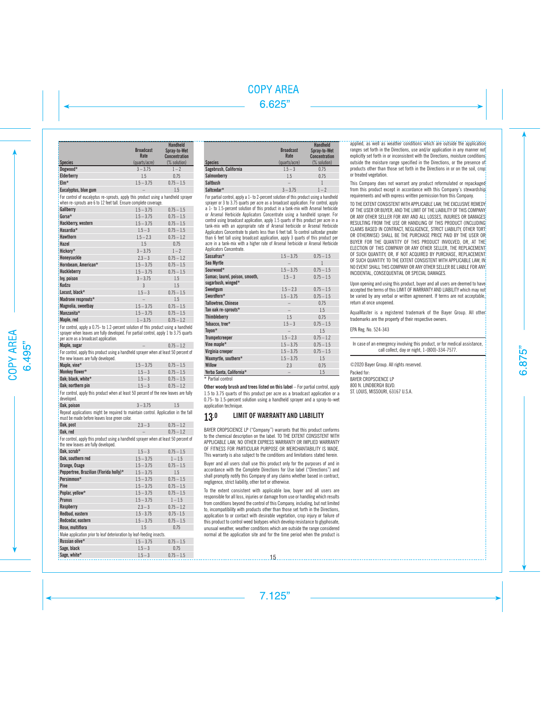| <b>Species</b>       | <b>Broadcast</b><br>Rate<br>(quarts/acre) | <b>Handheld</b><br>Spray-to-Wet<br><b>Concentration</b><br>(% solution) |
|----------------------|-------------------------------------------|-------------------------------------------------------------------------|
| Dogwood*             | $3 - 3.75$                                | $1 - 2$                                                                 |
| Elderberry           | 1.5                                       | 0.75                                                                    |
| $EIm*$               | $1.5 - 3.75$                              | $0.75 - 1.5$                                                            |
| Eucalyptus, blue gum |                                           | 1.5                                                                     |

For control of eucalyptus re-sprouts, apply this product using a handheld sprayer when re-sprouts are 6 to 12 feet tall. Ensure complete coverage.

| Gallberry           | $1.5 - 3.75$ | $0.75 - 1.5$ |
|---------------------|--------------|--------------|
| Gorse*              | $1.5 - 3.75$ | $0.75 - 1.5$ |
| Hackberry, western  | $1.5 - 3.75$ | $0.75 - 1.5$ |
| Hasardia*           | $1.5 - 3$    | $0.75 - 1.5$ |
| <b>Hawthorn</b>     | $1.5 - 2.3$  | $0.75 - 1.2$ |
| Hazel               | 1.5          | 0.75         |
| Hickory*            | $3 - 3.75$   | $1 - 2$      |
| Honeysuckle         | $2.3 - 3$    | $0.75 - 1.2$ |
| Hornbeam, American* | $1.5 - 3.75$ | $0.75 - 1.5$ |
| Huckleberry         | $1.5 - 3.75$ | $0.75 - 1.5$ |
| Ivy, poison         | $3 - 3.75$   | 1.5          |
| Kudzu               | $\mathbf{3}$ | 1.5          |
| Locust. black*      | $1.5 - 3$    | $0.75 - 1.5$ |
| Madrone resprouts*  | -            | 1.5          |
| Magnolia, sweetbay  | $1.5 - 3.75$ | $0.75 - 1.5$ |
| Manzanita*          | $1.5 - 3.75$ | $0.75 - 1.5$ |
| Maple, red          | $1 - 3.75$   | $0.75 - 1.2$ |

For control, apply a 0.75- to 1.2-percent solution of this product using a handheld sprayer when leaves are fully developed. For partial control, apply 1 to 3.75 quarts per acre as a broadcast application.

| Maple, sugar                                                                                                                  |              | $0.75 - 1.2$ |
|-------------------------------------------------------------------------------------------------------------------------------|--------------|--------------|
| : For control, apply this product using a handheld sprayer when at least 50 percent of<br>the new leaves are fully developed. |              |              |
| Maple, vine*                                                                                                                  | $1.5 - 3.75$ | $0.75 - 1.5$ |
| Monkey flower*                                                                                                                | $1.5 - 3$    | $0.75 - 1.5$ |
| Oak: black. white*                                                                                                            | $1.5 - 3$    | $0.75 - 1.5$ |

**Oak: northern pin** 1.5 – 3 0.75 – 1.2 For control, apply this product when at least 50 percent of the new leaves are fully

| developed.                                                                                                                         |            |     |
|------------------------------------------------------------------------------------------------------------------------------------|------------|-----|
| Oak. poison                                                                                                                        | $3 - 3.75$ | 1.5 |
| Repeat applications might be required to maintain control. Application in the fall<br>must be made before leaves lose green color. |            |     |

| <b>Oak, post</b> | $2.3 - 3$ | $0.75 - 1.2$ |
|------------------|-----------|--------------|
| Oak.red          |           | $0.75 - 1.2$ |

For control, apply this product using a handheld sprayer when at least 50 percent of the new leaves are fully developed.

| Oak. scrub*                                                           | $1.5 - 3$    | $0.75 - 1.5$ |
|-----------------------------------------------------------------------|--------------|--------------|
| Oak, southern red                                                     | $1.5 - 3.75$ | $1 - 1.5$    |
| Orange, Osage                                                         | $1.5 - 3.75$ | $0.75 - 1.5$ |
| Peppertree, Brazilian (Florida holly)*                                | $1.5 - 3.75$ | 1.5          |
| Persimmon*                                                            | $1.5 - 3.75$ | $0.75 - 1.5$ |
| Pine                                                                  | $1.5 - 3.75$ | $0.75 - 1.5$ |
| Poplar, yellow*                                                       | $1.5 - 3.75$ | $0.75 - 1.5$ |
| <b>Prunus</b>                                                         | $1.5 - 3.75$ | $1 - 1.5$    |
| Raspberry                                                             | $2.3 - 3$    | $0.75 - 1.2$ |
| Redbud, eastern                                                       | $1.5 - 3.75$ | $0.75 - 1.5$ |
| Redcedar, eastern                                                     | $1.5 - 3.75$ | $0.75 - 1.5$ |
| Rose, multiflora                                                      | 1.5          | 0.75         |
| Make application prior to leaf deterioration by leaf-feeding insects. |              |              |
| Russian olive*                                                        | $1.5 - 3.75$ | $0.75 - 1.5$ |
| Sage, black                                                           | $1.5 - 3$    | 0.75         |
| Sage, white*                                                          | $1.5 - 3$    | $0.75 - 1.5$ |

|                       | <b>Broadcast</b><br>Rate | <b>Handheld</b><br>Spray-to-Wet<br><b>Concentration</b> |
|-----------------------|--------------------------|---------------------------------------------------------|
| <b>Species</b>        | (quarts/acre)            | (% solution)                                            |
| Sagebrush, California | $1.5 - 3$                | 0.75                                                    |
| Salmonberry           | 1.5                      | 0.75                                                    |
| <b>Saltbush</b>       | -                        |                                                         |
| Saltcedar*            | $3 - 3.75$               | $1 - 2$                                                 |

For partial control, apply a 1- to 2-percent solution of this product using a handheld sprayer or 3 to 3.75 quarts per acre as a broadcast application. For control, apply a 1- to 1.5-percent solution of this product in a tank-mix with Arsenal herbicide or Arsenal Herbicide Applicators Concentrate using a handheld sprayer. For control using broadcast application, apply 1.5 quarts of this product per acre in a tank-mix with an appropriate rate of Arsenal herbicide or Arsenal Herbicide Applicators Concentrate to plants less than 6 feet tall. To control saltcedar greater than 6 feet tall using broadcast application, apply 3 quarts of this product per acre in a tank-mix with a higher rate of Arsenal herbicide or Arsenal Herbicide Applicators Concentrate

| Sassafras*                                           | $1.5 - 3.75$ | $0.75 - 1.5$ |
|------------------------------------------------------|--------------|--------------|
| Sea Myrtle                                           |              | 1            |
| Sourwood*                                            | $1.5 - 3.75$ | $0.75 - 1.5$ |
| Sumac; laurel, poison, smooth,<br>sugarbush, winged* | $1.5 - 3$    | $0.75 - 1.5$ |
| Sweetgum                                             | $1.5 - 2.3$  | $0.75 - 1.5$ |
| Swordfern*                                           | $1.5 - 3.75$ | $0.75 - 1.5$ |
| <b>Tallowtree, Chinese</b>                           |              | 0.75         |
| Tan oak re-sprouts*                                  |              | 1.5          |
| Thimbleberry                                         | 1.5          | 0.75         |
| Tobacco, tree*                                       | $1.5 - 3$    | $0.75 - 1.5$ |
| Toyon*                                               |              | 1.5          |
| Trumpetcreeper                                       | $1.5 - 2.3$  | $0.75 - 1.2$ |
| Vine maple*                                          | $1.5 - 3.75$ | $0.75 - 1.5$ |
| Virginia creeper                                     | $1.5 - 3.75$ | $0.75 - 1.5$ |
| Waxmyrtle, southern*                                 | $1.5 - 3.75$ | 1.5          |
| <b>Willow</b>                                        | 2.3          | 0.75         |
| Yerba Santa, California*                             |              | 1.5          |
| * Partial control                                    |              |              |

**Other woody brush and trees listed on this label** – For partial control, apply 1.5 to 3.75 quarts of this product per acre as a broadcast application or a 0.75- to 1.5-percent solution using a handheld sprayer and a spray-to-wet application technique.

## 13.0 LIMIT OF WARRANTY AND LIABILITY

BAYER CROPSCIENCE LP ("Company") warrants that this product conforms to the chemical description on the label. TO THE EXTENT CONSISTENT WITH APPLICABLE LAW, NO OTHER EXPRESS WARRANTY OR IMPLIED WARRANTY OF FITNESS FOR PARTICULAR PURPOSE OR MERCHANTABILITY IS MADE. This warranty is also subject to the conditions and limitations stated herein.

Buyer and all users shall use this product only for the purposes of and in accordance with the Complete Directions for Use label ("Directions") and shall promptly notify this Company of any claims whether based in contract, negligence, strict liability, other tort or otherwise.

To the extent consistent with applicable law, buyer and all users are responsible for all loss, injuries or damage from use or handling which results from conditions beyond the control of this Company, including, but not limited to, incompatibility with products other than those set forth in the Directions, application to or contact with desirable vegetation, crop injury or failure of this product to control weed biotypes which develop resistance to glyphosate, unusual weather, weather conditions which are outside the range considered normal at the application site and for the time period when the product is applied, as well as weather conditions which are outside the application ranges set forth in the Directions, use and/or application in any manner not explicitly set forth in or inconsistent with the Directions, moisture conditions outside the moisture range specified in the Directions, or the presence of products other than those set forth in the Directions in or on the soil, crop or treated vegetation.

This Company does not warrant any product reformulated or repackaged from this product except in accordance with this Company's stewardship requirements and with express written permission from this Company.

TO THE EXTENT CONSISTENT WITH APPLICABLE LAW, THE EXCLUSIVE REMEDY OF THE USER OR BUYER, AND THE LIMIT OF THE LIABILITY OF THIS COMPANY OR ANY OTHER SELLER FOR ANY AND ALL LOSSES, INJURIES OR DAMAGES RESULTING FROM THE USE OR HANDLING OF THIS PRODUCT (INCLUDING CLAIMS BASED IN CONTRACT, NEGLIGENCE, STRICT LIABILITY, OTHER TORT OR OTHERWISE) SHALL BE THE PURCHASE PRICE PAID BY THE USER OR BUYER FOR THE QUANTITY OF THIS PRODUCT INVOLVED, OR, AT THE ELECTION OF THIS COMPANY OR ANY OTHER SELLER, THE REPLACEMENT OF SUCH QUANTITY OR, IF NOT ACQUIRED BY PURCHASE, REPLACEMENT OF SUCH QUANTITY TO THE EXTENT CONSISTENT WITH APPLICABLE LAW, IN NO EVENT SHALL THIS COMPANY OR ANY OTHER SELLER BE LIABLE FOR ANY INCIDENTAL, CONSEQUENTIAL OR SPECIAL DAMAGES.

Upon opening and using this product, buyer and all users are deemed to have accepted the terms of this LIMIT OF WARRANTY AND LIABILITY which may not be varied by any verbal or written agreement. If terms are not acceptable, return at once unopened.

AquaMaster is a registered trademark of the Bayer Group. All other trademarks are the property of their respective owners.

EPA Reg. No. 524-343

In case of an emergency involving this product, or for medical assistance, call collect, day or night, 1-(800)-334-7577.

©2020 Bayer Group. All rights reserved.

Packed for: BAYER CROPSCIENCE LP 800 N. LINDBERGH BLVD. ST. LOUIS, MISSOURI, 63167 U.S.A.